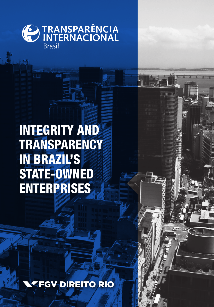

### INTEGRITY AND **TRANSPARENCY** IN BRAZIL'S STATE-OWNED **ENTERPRISES**

**FGV DIREITO RIO**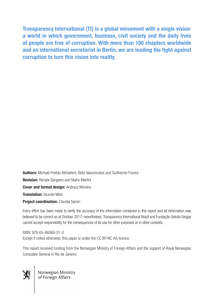Transparency International (TI) is a global movement with a single vision: a world in which government, business, civil society and the daily lives of people are free of corruption. With more than 100 chapters worldwide and an international secretariat in Berlin, we are leading the fight against corruption to turn this vision into reality.

Authors: Michael Freitas Mohallem, Beto Vasconcelos and Guilherme France **Revision:** Renata Sangeon and Maíra Martini **Cover and format design: Andreza Moreira Translation: Vicente Melo** 

Project coordination: Claudia Sanen

Every effort has been made to verify the accuracy of the information contained in this report and all information was believed to be correct as at October 2017; nevertheless, Transparency International Brazil and Fundação Getulio Vargas cannot accept responsibility for the consequences of its use for other purposes or in other contexts.

ISBN: 978-65-86060-01-0 Except if noted otherwise, this paper is under the CC BY-NC-AS licence.

This report received funding from the Norwegian Ministry of Foreign Affairs and the support of Royal Norwegian Consulate General in Rio de Janeiro.



**Algement Convergian Ministry**<br> **Algement Of Foreign Affairs**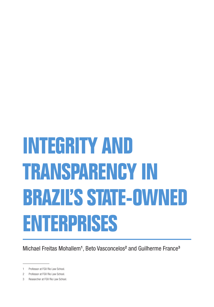# **INTEGRITY AND TRANSPARENCY IN BRAZIL'S STATE-OWNED ENTERPRISES**

Michael Freitas Mohallem<sup>1</sup>, Beto Vasconcelos<sup>2</sup> and Guilherme France<sup>3</sup>

<sup>1</sup> Professor at FGV Rio Law School.

<sup>2</sup> Professor at FGV Rio Law School.

<sup>3</sup> Researcher at FGV Rio Law School.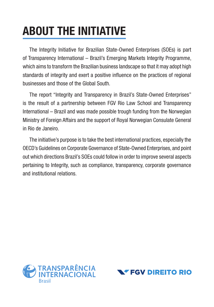# ABOUT THE INITIATIVE

The Integrity Initiative for Brazilian State-Owned Enterprises (SOEs) is part of Transparency International – Brazil's Emerging Markets Integrity Programme, which aims to transform the Brazilian business landscape so that it may adopt high standards of integrity and exert a positive influence on the practices of regional businesses and those of the Global South.

The report "Integrity and Transparency in Brazil's State-Owned Enterprises" is the result of a partnership between FGV Rio Law School and Transparency International – Brazil and was made possible trough funding from the Norwegian Ministry of Foreign Affairs and the support of Royal Norwegian Consulate General in Rio de Janeiro.

The initiative's purpose is to take the best international practices, especially the OECD's Guidelines on Corporate Governance of State-Owned Enterprises, and point out which directions Brazil's SOEs could follow in order to improve several aspects pertaining to Integrity, such as compliance, transparency, corporate governance and institutional relations.



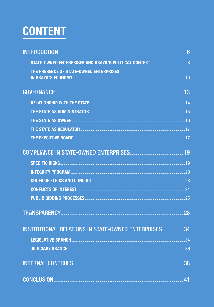# <span id="page-4-0"></span>**CONTENT**

| INTRODUCTION 6                                                                                                                                                                                                                 |     |
|--------------------------------------------------------------------------------------------------------------------------------------------------------------------------------------------------------------------------------|-----|
| STATE-OWNED ENTERPRISES AND BRAZIL'S POLITICAL CONTEXT <b>STATE-OWNED</b> ENTERPRISES AND BRAZIL'S POLITICAL CONTEXT                                                                                                           |     |
| THE PRESENCE OF STATE-OWNED ENTERPRISES                                                                                                                                                                                        |     |
| GOVERNANCE 23                                                                                                                                                                                                                  |     |
|                                                                                                                                                                                                                                |     |
|                                                                                                                                                                                                                                |     |
|                                                                                                                                                                                                                                |     |
|                                                                                                                                                                                                                                |     |
| THE EXECUTIVE BOARD <b>Example 2018</b> 17                                                                                                                                                                                     |     |
| COMPLIANCE IN STATE-OWNED ENTERPRISES <b>COMPLIANCE</b> 19                                                                                                                                                                     |     |
|                                                                                                                                                                                                                                |     |
|                                                                                                                                                                                                                                |     |
|                                                                                                                                                                                                                                |     |
|                                                                                                                                                                                                                                |     |
|                                                                                                                                                                                                                                |     |
| TRANSPARENCY NATIONAL CONTRACT CONTRACT CONTRACT OF THE CONTRACT OF THE CONTRACT OF THE CONTRACT OF THE CONTRACT OF THE CONTRACT OF THE CONTRACT OF THE CONTRACT OF THE CONTRACT OF THE CONTRACT OF THE CONTRACT OF THE CONTRA | .28 |
| <b>INSTITUTIONAL RELATIONS IN STATE-OWNED ENTERPRISES 34</b>                                                                                                                                                                   |     |
|                                                                                                                                                                                                                                |     |
|                                                                                                                                                                                                                                |     |
| INTERNAL CONTROLS <b>And CONTROLS</b>                                                                                                                                                                                          | 38  |
| CONCLUSION <b>Executive CONCLUSION</b>                                                                                                                                                                                         | 41  |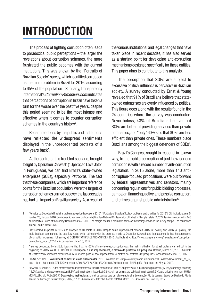# <span id="page-5-0"></span>INTRODUCTION

The process of fighting corruption often leads to paradoxical public perceptions – the larger the revelations about corruption schemes, the more frustrated the public becomes with the current institutions. This was shown by the "Portraits of Brazilian Society" survey, which identified corruption as the main problem in Brazil for 2016, according to 65% of the population<sup>1</sup>. Similarly, Transparency International's *Corruption Perception Index* indicates that perceptions of corruption in Brazil have taken a turn for the worse over the past five years, despite this period seeming to be the most intense and effective when it comes to counter corruption schemes in the country's history<sup>2</sup>.

Recent reactions by the public and institutions have reflected the widespread sentiments displayed in the unprecedented protests of a few years back<sup>3</sup>.

At the centre of this troubled scenario, brought to light by Operation Carwash ("Operação Lava Jato" in Portuguese), we can find Brazil's state-owned enterprises (SOEs), especially Petrobras. The fact that these companies, which are important reference points for the Brazilian population, were the targets of corruption schemes carried out over the last decades has had an impact on Brazilian society. As a result of

the various institutional and legal changes that have taken place in recent decades, it has also served as a starting point for developing anti-corruption mechanisms designed specifically for these entities. This paper aims to contribute to this analysis.

The perception that SOEs are subject to excessive political influence is pervasive in Brazilian society. A survey conducted by Ernst & Young revealed that 91% of Brazilians believe that stateowned enterprises are overly influenced by politics. This figure goes along with the results found in the 24 countries where the survey was conducted. Nevertheless, 43% of Brazilians believe that SOEs are better at providing services than private companies, and "only" 60% said that SOEs are less efficient than private ones. These numbers place Brazilians among the biggest defenders of SOEs<sup>4</sup>.

Brazil's Congress sought to respond, in its own way, to the public perception of just how serious corruption is with a record number of anti-corruption legislation. In 2015 alone, more than 140 anticorruption-focused propositions were put forward by federal representatives and senators, mainly concerning regulations for public bidding processes, campaign financing, active and passive corruption, and crimes against public administration<sup>5</sup>.

<sup>1</sup> "Retratos da Sociedade Brasileira: problemas e prioridades para 2016" ["Portraits of Brazilian Society: problems and priorities for 2016"], CNI indicators, year 5, number 28, January 2016, Confederação Nacional da Indústria [Brazilian National Confederation of Industry]. Sample details: 2,002 interviews conducted in 143 municipalities. Period of the survey: December 4 to 7, 2015. The margin of error is estimated at 2% on the findings made on the survey sample. The confidence interval used is that of 95%.

<sup>2</sup> Brazil scored 43 points in 2012 and dropped to 40 points in 2016. Despite some improvement between 2015 (38 points) and 2016 (40 points), the topic that best summarises the past few years, which coincide with the progress made by Operation Carwash and its outcomes, is that the perceptions of corruption worsened. Full survey at: CORRUPTION PERCEPTIONS INDEX 2016. Available at: <https://www.transparency.org/news/feature/corruption\_ perceptions\_index\_2016>. Accessed on: June 16, 2017.

<sup>3</sup> A survey conducted by Instituto Ipsos verified that, for 67% of interviewees, corruption was the main motivation for street protests carried out in the beginning of 2015. VALOR ECONÔMICO. Corrupção, e não impeachment, é motivo de protesto, diz pesquisa. Brasília, March 13, 2015. Available at: <http://www.valor.com.br/politica/3953322/corrupcao-e-nao-impeachment-e-motivo-de-protesto-diz-pesquisa>. Accessed on: June 16, 2017.

<sup>4</sup> ERNST & YOUNG. Government as best in class shareholder. 2010. Available at: <http://www.ey.com/Publication/wvLUAssets/Government as is best\_class\_shareholder/\$FILE/Government%20as%20in%20best%20class%20shareholder\_FINAL.pdf>. Accessed on: May 6, 2017.

<sup>5</sup> Between 1992 and 2016, the most frequent subject matters of the bills presented at Brazil's Congress were: public bidding processes (17.9%); campaign financing (11.2%); active and passive corruption (8.3%); administrative misconduct (7.6%); crimes against the public administration (7.3%); and unjust enrichment (5,5%). MOHALLEM, M.; RAGAZZO, C. Diagnóstico institucional: primeiros passos para um plano nacional anticorrupção. Rio de Janeiro: Escola de Direito do Rio de Janeiro da Fundação Getulio Vargas, 2017, p. 130. Available at: <http://hdl.handle.net/10438/18167>. Accessed on: June 16, 2017.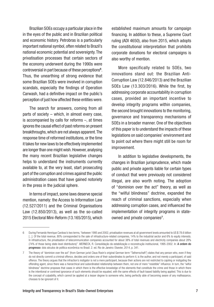Brazilian SOEs occupy a particular place in the in the eyes of the public and in Brazilian political and economic history. Petrobras is a particularly important national symbol, often related to Brazil's national economic potential and sovereignty. The privatisation processes that certain sectors of the economy underwent during the 1990s were controversial in part because of these perceptions<sup>6</sup>. Thus, the unearthing of strong evidence that some Brazilian SOEs were involved in corruption scandals, especially the findings of Operation Carwash, had a definitive impact on the public's perception of just how affected these entities were.

The search for answers, coming from all parts of society – which, in almost every case, is accompanied by calls for reforms –, at times ignores the causal effect of past reforms on present breakthroughs, which are not always apparent. The response time of reformed institutions, or the time it takes for new laws to be effectively implemented are longer than one might wish. However, analysing the many recent Brazilian legislative changes helps to understand the instruments currently available to, at the very least, start prosecuting part of the corruption and crimes against the public administration cases that have gained notoriety in the press in the judicial sphere.

In terms of impact, some laws deserve special mention, namely: the Access to Information Law (12.527/2011) and the Criminal Organisations Law (12.850/2013), as well as the so-called 2015 Electoral Mini-Reform (13.165/2015), which

established maximum amounts for campaign financing. In addition to these, a Supreme Court ruling (ADI 4650), also from 2015, which adopts the constitutional interpretation that prohibits corporate donations for electoral campaigns is also worthy of mention.

More specifically related to SOEs, two innovations stand out: the Brazilian Anti-Corruption Law (12.846/2013) and the Brazilian SOEs Law (13.303/2016). While the first, by addressing corporate accountability in corruption cases, provided an important incentive to develop integrity programs within companies, the second brought innovations to the monitoring, governance and transparency mechanisms of SOEs in a broader manner. One of the objectives of this paper is to understand the impacts of these legislations on said companies' environment and to point out where there might still be room for improvement.

In addition to legislative developments, the changes in Brazilian jurisprudence, which made public and private agents liable for certain types of conduct that were previously not considered illegal, are also worth noting. The adoption of "dominion over the act" theory, as well as the "wilful blindness" doctrine, expanded the reach of criminal sanctions, especially when addressing corruption cases, and influenced the implementation of integrity programs in stateowned and private companies<sup>7</sup>.

<sup>6</sup> During Fernando Henrique Cardoso's two terms, "between 1995 and 2002, privatisation revenues at all government levels amounted to US \$ 78.6 billion [...]. Of the total revenue, 80% corresponded to the sale of infrastructure-related companies, 14% to the industrial sector and 6% to equity interests. In infrastructure, the privatisation of telecommunication companies accounted for about 38% of total revenues and electricity companies about 28% (74% of those being state-level distributors)". WERNECK, R. Consolidação da estabilização e reconstrução institucional, 1995-2002. In: A ordem do progresso: dois séculos de política econômica no Brasil. 2. ed. Rio de Janeiro: Elsevier, 2014, p. 341.

<sup>7</sup> The theory of "dominion over the act" (from German jurist Claus Roxin's original German term "Tatherrschaft") states that any person who, even if they do not directly commit a criminal offence, decides and orders one of their subordinates to perform it, is the author, and not merely a participant, of said offence. The theory argues that the infraction's instigator is not a mere participant, because their actions are not restricted to cajoling or instigating the offending agent, since there was a hierarchical and subordinated relationship between them, not one of mere "resistible" influence. In turn, the "wilful blindness" doctrine proposes that cases in which there is the effective knowledge of the elements that constitute the crime and those in which there is the intentional or contrived ignorance of such elements should be equated, with the same effects of fault-based liability being applied. This is due to the concept of culpability, which cannot be applied at a lesser degree to someone who, being perfectly able of becoming aware of any malfeasance, chooses to be ignorant of it.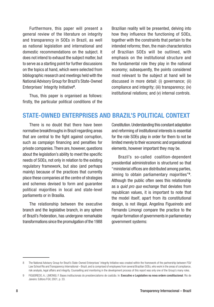<span id="page-7-0"></span>Furthermore, this paper will present a general review of the literature on integrity and transparency in SOEs in Brazil, as well as national legislation and international and domestic recommendations on the subject. It does not intend to exhaust the subject matter, but to serve as a starting point for further discussions on the topics at hand, which were selected from bibliographic research and meetings held with the National Advisory Group for Brazil's State-Owned Enterprises' Integrity Initiative<sup>8</sup>.

Thus, this paper is organised as follows: firstly, the particular political conditions of the Brazilian reality will be presented, delving into how they influence the functioning of SOEs, together with the constraints that pertain to the intended reforms; then, the main characteristics of Brazilian SOEs will be outlined, with emphasis on the institutional structure and the fundamental role they play in the national economy; subsequently, the points considered most relevant to the subject at hand will be discussed in more detail: (i) governance; (ii) compliance and integrity; (iii) transparency; (iv) institutional relations; and (v) internal controls.

#### STATE-OWNED ENTERPRISES AND BRAZIL'S POLITICAL CONTEXT

There is no doubt that there have been normative breakthroughs in Brazil regarding areas that are central to the fight against corruption, such as campaign financing and penalties for private companies. There are, however, questions about the legislation's ability to meet the specific needs of SOEs, not only in relation to the existing regulatory framework, but also (and perhaps mainly) because of the practices that currently place these companies at the centre of strategies and schemes devised to form and guarantee political majorities in local and state-level parliaments or in Brasilia.

The relationship between the executive branch and the legislative branch, in any sphere of Brazil's Federation, has undergone remarkable transformations since the promulgation of the 1988

Constitution. Understanding this constant adaptation and reforming of institutional interests is essential for the role SOEs play in order for them to not be limited merely to their economic and organisational elements, however important they may be.

Brazil's so-called coalition-dependent presidential administration is structured so that "ministerial offices are distributed among parties, aiming to obtain parliamentary majorities"9. Although the public often sees this relationship as a *quid pro quo* exchange that deviates from republican values, it is important to note that the model itself, apart from its constitutional design, is not illegal. Angelina Figueiredo and Fernando Limongi compare the practice to the regular formation of governments in parliamentary government systems:

<sup>8</sup> The National Advisory Group for Brazil's State-Owned Enterprises' Integrity Initiative was created within the framework of the partnership between FGV Law School Rio and Transparency International – Brazil, and is comprised of employees from several Brazilian SOEs, who work in the areas of compliance, risk analysis, legal affairs and integrity. Counselling and monitoring in the development process of this report was only one of the Group's many roles.

<sup>9</sup> FIGUEIREDO, A.; LIMONGI, F. Bases institucionais do presidencialismo de coalizão. In: Executivo e Legislativo na nova ordem constitucional. Rio de Janeiro: Editora FGV, 2001, p. 33.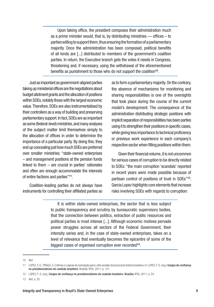Upon taking office, the president composes their administration much as a prime minister would, that is, by distributing ministries  $-$  offices  $-$  to parties willing to support them, thus ensuring the formation of a parliamentary majority. Once the administration has been composed, political benefits of all kinds are [...] distributed to members of the government's coalition parties. In return, the Executive branch gets the votes it needs in Congress, threatening and, if necessary, using the withdrawal of the aforementioned benefits as punishment to those who do not support the coalition<sup>10</sup>.

Just as important as government-aligned parties taking up ministerial offices are the negotiations about budget allotment grants and the allocation of positions within SOEs, notably those with the largest economic value. Therefore, SOEs are also instrumentalised by their controllers as a way of building and preserving parliamentary support. In fact, SOEs are as important as some (federal-level) ministries, and many analyses of the subject matter limit themselves simply to the allocation of offices in order to determine the importance of a particular party. By doing this, they end up concealing just how much SOEs are preferred over smaller ministries: "state-owned enterprises – and management positions at the pension funds linked to them – are crucial in parties' rationales and often are enough accommodate the interests of entire factions and parties"11.

Coalition-leading parties do not always have instruments for controlling their affiliated parties so

as to form a parliamentary majority. On the contrary, the absence of mechanisms for monitoring and sharing responsibilities is one of the oversights that took place during the course of the current model's development. The consequence of the administration distributing strategic positions with implicit separation of responsibilities has been parties using it to strengthen their positions in specific cases, while giving less importance to technical proficiency or previous work experience in each company's respective sector when filling positions within them.

Given their financial volume, it is not uncommon for serious cases of corruption to be directly related to SOEs: "the main corruption 'scandals' reported in recent years were made possible because of partisan control of positions of trust in SOEs"<sup>12</sup>. Garcia Lopez highlights core elements that increase risks involving SOEs with regards to corruption:

It is within state-owned enterprises, the sector that is less subject to public transparency and scrutiny by bureaucratic supervisory bodies, that the connection between politics, extraction of public resources and political parties is most intense [...]. Although economic motives pervade power struggles across all sectors of the Federal Government, their intensity varies and, in the case of state-owned enterprises, takes on a level of relevance that eventually becomes the epicentre of some of the biggest cases of organised corruption ever recorded<sup>13</sup>.

<sup>10</sup> Ibid.

<sup>11</sup> LOPEZ, F. G.; PRAÇA, S. Critérios e Lógicas de nomeação para o alto escalão da burocracia federal brasileira. In: LOPEZ, F. G. (org.) Cargos de confiança no presidencialismo de coalizão brasileiro. Brasília: IPEA, 2011, p. 121.

<sup>12</sup> LOPEZ, F. G. (org.) Cargos de confiança no presidencialismo de coalizão brasileiro. Brasília: IPEA, 2011, p. 24.

<sup>13</sup> Ibid, p. 25.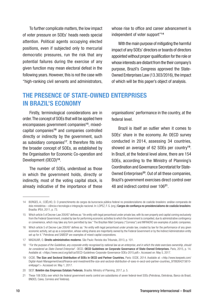<span id="page-9-0"></span>To further complicate matters, the low impact of voter pressure on SOEs' heads needs special attention. Political agents occupying elected positions, even if subjected only to mercurial democratic pressures, run the risk that any potential failures during the exercise of any given function may mean electoral defeat in the following years. However, this is not the case with "high-ranking civil servants and administrators, whose rise to office and career advancement is independent of voter support"<sup>14</sup>

With the main purpose of mitigating the harmful impact of any SOEs' directors or boards of directors appointed without proper qualification for the role or whose interests are distant from the their company's purpose, Brazil's Congress approved the State-Owned Enterprises Law (13.303/2016), the impact of which will be this paper's object of analysis.

#### THE PRESENCE OF STATE-OWNED ENTERPRISES IN BRAZIL'S ECONOMY

Firstly, terminological considerations are in order. The concept of SOEs that will be applied here encompasses government companies<sup>15</sup>, mixedcapital companies16 and companies controlled directly or indirectly by the government, such as subsidiary companies<sup>17</sup>. It therefore fits into the broader concept of SOEs, as established by the Organisation for Economic Co-operation and Development (OECD)18.

The number of SOEs, understood as those in which the government holds, directly or indirectly, most of the voting capital stock, is already indicative of the importance of these

organisations' performance in the country, at the federal level.

Brazil is itself an outlier when it comes to SOEs' share in the economy. An OECD survey conducted in 2014, assessing 34 countries, showed an average of 62 SOEs per country<sup>19</sup>. In Brazil, at the federal level alone, there are 154 SOEs, according to the Ministry of Planning's Coordination and Governance Secretariat for State-Owned Enterprises<sup>20</sup>. Out of all these companies, Brazil's government exercises direct control over 48 and indirect control over 106<sup>21</sup>.

<sup>14</sup> BORGES, A.; COÊLHO, D. O preenchimento de cargos da burocracia pública federal no presidencialismo de coalizão brasileiro: análise comparada de dois ministérios – ciência e tecnologia e integração nacional. In: LOPEZ, F. G. (org.) Cargos de confiança no presidencialismo de coalizão brasileiro. Brasília: IPEA, 2011, p. 73.

<sup>15</sup> Which article 5 of Decree-Law 200/67 defines as: "An entity with legal personhood under private law, with its own property and capital coming exclusively from the Federal Government, created by law for performing economic activities to which the Government is compelled, due to administrative contingency or convenience, which may take any form permitted by law." The Brazilian Mail Company ("Correios") and INFRAERO are examples of public companies.

<sup>16</sup> Which article 5 of Decree-Law 200/67 defines as: "An entity with legal personhood under private law, created by law for the performance of any given economic activity, set up as a corporation, whose voting shares are majoritarily owned by the Federal Government or by the Indirect Administration entity set up for it." Petrobras and SABESP are examples of mixed-capital corporations.

<sup>17</sup> MADAUAR, O. Direito administrativo moderno. São Paulo: Revista dos Tribunais, 2013, p. 101.

<sup>18</sup> "*For the purpose of the Guidelines, any corporate entity recognised by national law as an enterprise, and in which the state exercises ownership, should be considered as State-Owned Enterprise*". OECD. OECD Guidelines on Corporate Governance of State-Owned Enterprises. Paris, 2015, p. 14. Available at: <https://www.oecd.org/daf/ca/OECD-Guidelines-Corporate-Governance-SOEs-2015.pdf>. Accessed on: May 5, 2017.

<sup>19</sup> OCDE. The Size and Sectoral Distribution of SOEs in OECD and Partner Countries. Paris: OCDE, 2014. Available at: <http://www.keepeek.com/ Digital-Asset-Management/oecd/finance-and-investment/the-size-and-sectoral-distribution-of-soes-in-oecd-and-partner-countries\_9789264215610 en#page1>. Accessed on: May 1, 2017.

<sup>20</sup> SEST. Boletim das Empresas Estatais Federais. Brasília: Ministry of Planning, 2017, p. 5.

<sup>21</sup> These 106 SOEs over which the federal government exerts control are subsidiaries of seven federal-level SOEs (Petrobras, Eletrobras, Banco do Brasil, BNDES, Caixa, Correios and Telebras).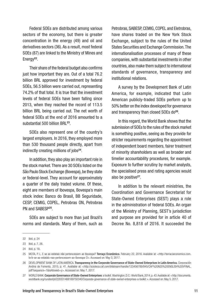Federal SOEs are distributed among various sectors of the economy, but there is greater concentration in the energy (49) and oil and derivatives sectors (36). As a result, most federal SOEs (87) are linked to the Ministry of Mines and Energy<sup>22</sup>.

Their share of the federal budget also confirms just how important they are. Out of a total 76.2 billion BRL approved for investment by federal SOEs, 56.5 billion were carried out, representing 74.2% of that total. It is true that the investment levels of federal SOEs have been falling since 2013, when they reached the record of 113.5 billion BRL being carried out. The net worth of federal SOEs at the end of 2016 amounted to a substantial 500 billion BRL 23.

SOEs also represent one of the country's largest employers. In 2016, they employed more than 530 thousand people directly, apart from indirectly creating millions of jobs<sup>24</sup>.

In addition, they also play an important role in the stock market. There are 30 SOEs listed on the São Paulo Stock Exchange (Bovespa), be they state or federal-level. They account for approximately a quarter of the daily traded volume. Of these, eight are members of Ibovespa, Bovespa's main stock index: Banco do Brasil, BB Seguridade, CESP, CEMIG, COPEL, Petrobras ON, Petrobras PN and SABESP<sup>25</sup>.

SOEs are subject to more than just Brazil's norms and standards. Many of them, such as

Petrobras, SABESP, CEMIG, COPEL and Eletrobras, have shares traded on the New York Stock Exchange, subject to the rules of the United States Securities and Exchange Commission. The internationalisation processes of many of these companies, with substantial investments in other countries, also make them subject to international standards of governance, transparency and institutional relations.

A survey by the Development Bank of Latin America, for example, indicated that Latin American publicly-traded SOEs perform up to 50% better on the index developed for governance and transparency than closed SOEs do<sup>26</sup>.

In this regard, the World Bank shows that the submission of SOEs to the rules of the stock market is something positive, seeing as they provide for stricter requirements regarding the appointment of independent board members, fairer treatment of minority shareholders as well as broader and timelier accountability procedures, for example. Exposure to further scrutiny by market analysts, the specialised press and rating agencies would also be positive<sup>27</sup>.

In addition to the relevant ministries, the Coordination and Governance Secretariat for State-Owned Enterprises (SEST) plays a role in the administration of federal SOEs. An organ of the Ministry of Planning, SEST's jurisdiction and purpose are provided for in article 40 of Decree No. 8,818 of 2016. It succeeded the

<sup>22</sup> Ibid, p. 24

<sup>23</sup> Ibid, p. 7, 26.

<sup>24</sup> Ibid, p. 18.

<sup>25</sup> MOTA, P. L. E se as estatais não pertencessem ao Ibovespa? Terraço Econômico. February 22, 2016. Available at: <http://terracoeconomico.com. br/e-se-as-estatais-nao-pertencessem-ao-ibovespa-3>. Accessed on: May 3, 2017.

<sup>26</sup> DEVELOPMENT BANK OF LATIN AMERICA. Transparency in the Corporate Governance of State-Owned Enterprises in Latin America. Corporación Andina de Fomento, 2015, p. 41. Available at: <http://scioteca.caf.com/bitstream/handle/123456789/845/CAF%20N20%20ENGLISH%20VFINAL. pdf?sequence=1&isAllowed=y>. Accessed on: May 7, 2017.

<sup>27</sup> WORLD BANK. Corporate Governance of State-Owned Enterprises: a toolkit. Washington, D.C.: World Bank, 2014, p. 43. Available at: <http://documents. worldbank.org/curated/pt/228331468169750340/Corporate-governance-of-state-owned-enterprises-a-toolkit >. Accessed on: May 5, 2017.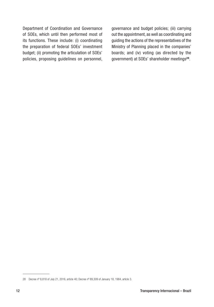Department of Coordination and Governance of SOEs, which until then performed most of its functions. These include: (i) coordinating the preparation of federal SOEs' investment budget; (ii) promoting the articulation of SOEs' policies, proposing guidelines on personnel,

governance and budget policies; (iii) carrying out the appointment, as well as coordinating and guiding the actions of the representatives of the Ministry of Planning placed in the companies' boards; and (iv) voting (as directed by the government) at SOEs' shareholder meetings28.

<sup>28</sup> Decree nº 8,818 of July 21, 2016, article 40; Decree nº 89,309 of January 18, 1984, article 3.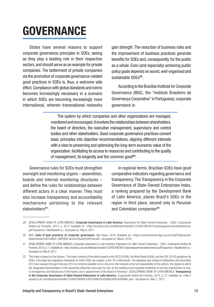### <span id="page-12-0"></span>**GOVERNANCE**

States have several reasons to support corporate governance principles in SOEs, seeing as they play a leading role in their respective sectors, and should serve as an example for private companies. The betterment of private companies via the promotion of corporate governance-related good practices in SOEs is, thus, a welcome side effect. Compliance with global standards and norms becomes increasingly necessary in a scenario in which SOEs are becoming increasingly more international, wherein transnational networks

gain strength. The reduction of business risks and the improvement of business practices generate benefits for SOEs and, consequently, for the public as a whole. Even (and especially) achieving public policy goals depends on sound, well-organised and sustainable SOEs<sup>29</sup>.

According to the Brazilian Institute for Corporate Governance (IBGC, the "Instituto Brasileiro de Governança Corporativa" in Portuguese), corporate governance is:

The system by which companies and other organizations are managed, monitored and encouraged. It involves the relationships between shareholders, the board of directors, the executive management, supervisory and control bodies and other stakeholders. Good corporate governance practices convert basic principles into objective recommendations, aligning different interests with a view to preserving and optimizing the long-term economic value of the organization, facilitating its access to resources and contributing to the quality of management, its longevity and the common good<sup>30</sup>.

Governance rules for SOEs must strengthen oversight and monitoring organs – assemblies, boards and internal monitoring structures – and define the rules for relationships between different actors in a clear manner. They must also increase transparency and accountability mechanisms pertaining to the relevant stakeholders<sup>31</sup>

In regional terms, Brazilian SOEs have good comparative indicators regarding governance and transparency. The Transparency in the Corporate Governance of State-Owned Enterprises Index, a ranking prepared by the Development Bank of Latin America, places Brazil's SOEs in the region in third place, second only to Peruvian and Colombian companies<sup>32</sup>.

<sup>29</sup> DEVELOPMENT BANK OF LATIN AMERICA. Corporate Governance in Latin America: Importance for State Owned Enterprises - SOEs. Corporación Andina de Fomento, 2012, p. 23-4. Available at: <http://scioteca.caf.com/bitstream/handle/123456789/367/corporategovernancelatinamerica. pdf?sequence=1&isAllowed=y>. Accessed on: May 6, 2017.

<sup>30</sup> IBGC Code of best practices of corporate governance. São Paulo, 2016. Available at: <https://conhecimento.ibgc.org.br/Lists/Publicacoes/ Attachments/23610/IBGC-CMPGEN-Vers%c3%a3o%20Final.pdf>. Accessed on: March, 2019.

<sup>31</sup> DEVELOPMENT BANK OF LATIN AMERICA. Corporate Governance in Latin America: Importance for State Owned Enterprises – SOEs. Corporación Andina de Fomento, 2012, p. 11. Available at: <http://scioteca.caf.com/bitstream/handle/123456789/367/corporategovernancelatinamerica.pdf?sequence=1&isAllowed=y>. Accessed on: May 6, 2017.

<sup>32</sup> This index is based on five factors: "The index consists of five pillars based on the OECD (2006), the World Bank (2006), and the CAF (2010) guidelines for SOEs: i) the legal and regulatory framework to which SOEs are subject; ii) the '25 4 Afterwards', the database was revised in September and December 2014 and January through February 2015 to minimize possible errors. Any error that remains is the full responsibility of the authors, the degree to which the designated representative of the ownership effectively exercises his role; iii) the existence and equitable treatment of minority shareholders (if any); iv) transparency and disclosure of information; and v) appointment of the Board of Directors". DEVELOPMENT BANK OF LATIN AMERICA. Transparency in the Corporate Governance of State-Owned Enterprises in Latin America. Corporación Andina de Fomento, 2015, p. 37. Available at: <http:// scioteca.caf.com/bitstream/handle/123456789/845/CAF%20N20%20ENGLISH%20VFINAL.pdf>. Accessed on: May 7, 2017.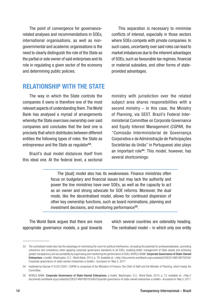<span id="page-13-0"></span>The point of convergence for governancerelated analyses and recommendations in SOEs, international organisations, as well as nongovernmental and academic organisations is the need to clearly distinguish the role of the State as the partial or sole owner of said enterprises and its role in regulating a given sector of the economy and determining public policies.

This separation is necessary to minimise conflicts of interest, especially in those sectors where SOEs compete with private companies. In such cases, uncertainty over said roles can lead to market imbalances due to the inherent advantages of SOEs, such as favourable tax regimes, financial or material subsidies, and other forms of stateprovided advantages.

#### RELATIONSHIP WITH THE STATE

The way in which the State controls the companies it owns is therefore one of the most relevant aspects of understanding them. The World Bank has analysed a myriad of arrangements whereby the State exercises ownership over said companies and concludes that the best one is precisely that which distributes between different entities the following types of roles: the State as entrepreneur and the State as regulator<sup>33</sup>.

Brazil's dual model distances itself from this ideal one. At the federal level, a sectorial ministry with jurisdiction over the related subject area shares responsibilities with a second ministry  $-$  in this case, the Ministry of Planning, via SEST. Brazil's Federal Interministerial Committee on Corporate Governance and Equity Interest Management (CGPAR, the "Comissão Interministerial de Governança Corporativa e de Administração de Participações Societárias da União" in Portuguese) also plays an important role<sup>34</sup>. This model, however, has several shortcomings:

The [dual] model also has its weaknesses. Finance ministries often focus on budgetary and financial issues but may lack the authority and power the line ministries have over SOEs, as well as the capacity to act as an owner and strong advocate for SOE reforms. Moreover, the dual mode, like the decentralised model, allows for continued dispersion of other key ownership functions, such as board nominations, planning and investment decisions, and monitoring performance<sup>35</sup>.

The World Bank argues that there are more appropriate governance models, a goal towards which several countries are ostensibly heading. The centralised model  $-$  in which only one entity

<sup>33</sup> The centralised model also has the advantage of minimising the room for political interference, increasing the potential for professionalisation, promoting coherence and consistency when applying corporate governance standards to all SOEs, enabling better management of State assets and achieving greater transparency and accountability by supervising and monitoring the performance of SOEs. WORLD BANK. Corporate Governance of State-Owned Enterprises: a toolkit. Washington, D.C.: World Bank, 2014, p. 78. Available at: <http://documents.worldbank.org/curated/pt/228331468169750340/ Corporate-governance-of-state-owned-enterprises-a-toolkit>. Accessed on: May 5, 2017.

<sup>34</sup> Instituted by Decree nº 6,021/2007, CGPAR is comprised of the Ministers of Finance, the Chief of Staff and the Minister of Planning, which heads the Committee.

<sup>35</sup> WORLD BANK. Corporate Governance of State-Owned Enterprises: a toolkit. Washington, D.C.: World Bank, 2014, p. 73. Available at: <http:// documents.worldbank.org/curated/pt/228331468169750340/Corporate-governance-of-state-owned-enterprises-a-toolkit>. Accessed on: May 5, 2017.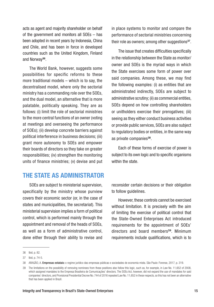<span id="page-14-0"></span>acts as agent and majority shareholder on behalf of the government and monitors all SOEs – has been adopted in recent years by Indonesia, China and Chile, and has been in force in developed countries such as the United Kingdom, Finland and Norway<sup>36</sup>.

The World Bank, however, suggests some possibilities for specific reforms to these more traditional models – which is to say, the decentralised model, where only the sectorial ministry has a commanding role over the SOEs, and the dual model, an alternative that is more palatable, politically speaking. They are as follows: (i) limit the role of sectorial ministries to the more central functions of an owner (voting at meetings and overseeing the performance of SOEs); (ii) develop concrete barriers against political interference in business decisions; (iii) grant more autonomy to SOEs and empower their boards of directors so they take on greater responsibilities; (iv) strengthen the monitoring units of finance ministries; (v) devise and put

#### THE STATE AS ADMINISTRATOR

SOEs are subject to ministerial supervision, specifically by the ministry whose purview covers their economic sector (or, in the case of states and municipalities, the secretariat). This ministerial supervision implies a form of political control, which is performed mainly through the appointment and removal of the heads of SOEs, as well as a form of administrative control, done either through their ability to revise and

in place systems to monitor and compare the performance of sectorial ministries concerning their role as owners; among other suggestions<sup>37</sup>.

The issue that creates difficulties specifically in the relationship between the State as monitor/ owner and SOEs is the myriad ways in which the State exercises some form of power over said companies. Among these, we may find the following examples: (i) as entities that are administrated indirectly, SOEs are subject to administrative scrutiny; (ii) as commercial entities, SOEs depend on how controlling shareholders or unitholders exercise their prerogatives; (iii) seeing as they either conduct business activities or provide public services, SOEs are also subject to regulatory bodies or entities, in the same way as private companies<sup>38</sup>.

Each of these forms of exercise of power is subject to its own logic and to specific organisms within the state.

reconsider certain decisions or their obligation to follow guidelines.

However, these controls cannot be exercised without limitation. It is precisely with the aim of limiting the exercise of political control that the State-Owned Enterprises Act introduced requirements for the appointment of SOEs' directors and board members<sup>39</sup>. Minimum requirements include qualifications, which is to

<sup>36</sup> Ibid, p. 82.

<sup>37</sup> Ibid, p. 74-5.

<sup>38</sup> ARAGÃO, A. Empresas estatais: o regime jurídico das empresas públicas e sociedades de economia mista. São Paulo: Forense, 2017, p. 319.

<sup>39</sup> The limitations on the possibility of removing nominees from these positions also follow this logic, such as, for example, in Law No. 11,652 of 2008, which assigned mandates to the Empresa Brasileira de Comunicações' directors. The SOEs Act, however, did not expand the use of mandates for said companies' directors, and Provisional Presidential Decree No. 744 of 2016 repealed Law No. 11,652 in these respects, so this has not been an alternative that has been applied in Brazil.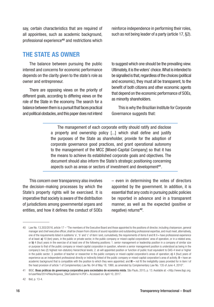<span id="page-15-0"></span>say, certain characteristics that are required of all appointees, such as academic background, professional experience40 and restrictions which reinforce independence in performing their roles, such as not being leader of a party (article 17, §2).

#### THE STATE AS OWNER

The balance between pursuing the public interest and concerns for economic performance depends on the clarity given to the state's role as owner and entrepreneur.

There are opposing views on the priority of different goals, according to differing views on the role of the State in the economy. The search for a balance between them is a pursuit that faces practical and political obstacles, and this paper does not intend to suggest which one should be the prevailing view. Ultimately, it is the voters' choice. What is intended to be signalled is that, regardless of the choices (political and economic), they must all be transparent, to the benefit of both citizens and other economic agents that depend on the economic performance of SOEs, as minority shareholders.

This is why the Brazilian Institute for Corporate Governance suggests that:

The management of each corporate entity should ratify and disclose a property and ownership policy [...] which shall define and justify the purposes of the State as shareholder, provide for the adoption of corporate governance good practices, and grant operational autonomy to the management of the MCC [Mixed-Capital Company] so that it has the means to achieve its established corporate goals and objectives. The document should also inform the State's strategic positioning concerning aspects such as areas or sectors of investment and development<sup>41</sup>.

This concern over transparency also involves the decision-making processes by which the State's property rights will be exercised. It is imperative that society is aware of the distribution of jurisdictions among governmental organs and entities, and how it defines the conduct of SOEs

– even in determining the votes of directors appointed by the government. In addition, it is essential that any costs in pursuing public policies be reported in advance and in a transparent manner, as well as the expected (positive or negative) returns<sup>42</sup>.

<sup>40</sup> Law No. 13,303/2016, article 17 – "The members of the Executive Board and those appointed to the positions of director, including chairperson, general manager and chief executive officer, shall be chosen from citizens of sound reputation and outstanding professional expertise, and must meet, alternatively, one of the requirements listed in subitems 'a', 'b' and 'c' of item I and, cumulatively, the requirements of items II and III: I – have professional experience of at least: a) 10 (ten) years, in the public or private sector, in the public company or mixed-capital corporations' area of operation, or in a related area, or b) 4 (four) years in the exercise of at least one of the following positions: 1. senior management or leadership position in a company of similar size or purpose to that of the public company or mixed-capital corporation in question, wherein a senior management position is understood as being in the company's two (2) highest non-statutory hierarchical levels; 2. at-will appointed position or function of public trust equivalent to DAS-4 level or higher in the public sector; 3. position of teacher or researcher in the public company or mixed-capital corporation's areas of operation; c) 4 (four) years of experience as an independent professional directly or indirectly linked of the public company or mixed-capital corporation's area of activity; II – have an academic background that is compatible with the position to which they were appointed; and III – not fit the ineligibility cases provided for in item I of the head provision of article 1 of Complementary Law No. 64 of May 18, 1990, as amended by Complementary Law No. 135 of June 4, 2010".

<sup>41</sup> IBGC. Boas práticas de governança corporativa para sociedades de economia mista. São Paulo, 2015, p. 13. Available at: <http://www.ibgc.org. br/userfiles/2014/files/Arquivos\_Site/Caderno14.PDF>. Accessed on: April 10, 2017.

<sup>42</sup> Ibid, p. 13-4.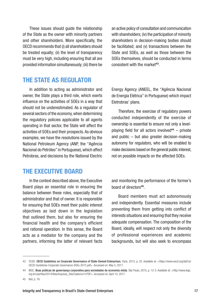<span id="page-16-0"></span>These issues should guide the relationship of the State as the owner with minority partners and other shareholders. More specifically, the OECD recommends that (i) all shareholders should be treated equally; (ii) the level of transparency must be very high, including ensuring that all are provided information simultaneously; (iii) there be

an active policy of consultation and communication with shareholders; (iv) the participation of minority shareholders in decision-making bodies should be facilitated; and (v) transactions between the State and SOEs, as well as those between the SOEs themselves, should be conducted in terms consistent with the market<sup>43</sup>.

#### THE STATE AS REGULATOR

In addition to acting as administrator and owner, the State plays a third role, which exerts influence on the activities of SOEs in a way that should not be underestimated. As a regulator of several sectors of the economy, when determining the regulatory policies applicable to all agents operating in that sector, the State will affect the activities of SOEs and their prospects. As obvious examples, we have the resolutions issued by the National Petroleum Agency (ANP, the "Agência Nacional do Petróleo" in Portuguese), which affect Petrobras, and decisions by the National Electric

Energy Agency (ANEEL, the "Agência Nacional de Energia Elétrica" in Portuguese) which impact Eletrobras' plans.

Therefore, the exercise of regulatory powers conducted independently of the exercise of ownership is essential to ensure not only a levelplaying field for all actors involved $44 -$  private and public – but also greater decision-making autonomy for regulators, who will be enabled to make decisions based on the general public interest, not on possible impacts on the affected SOEs.

#### THE EXECUTIVE BOARD

In the context described above, the Executive Board plays an essential role in ensuring the balance between these roles, especially that of administrator and that of owner. It is responsible for ensuring that SOEs meet their public interest objectives as laid down in the legislation that outlined them, but also for ensuring the financial health and the company's efficient and rational operation. In this sense, the Board acts as a mediator for the company and the partners, informing the latter of relevant facts and monitoring the performance of the former's board of directors<sup>45</sup>.

Board members must act autonomously and independently. Essential measures include preventing them from getting into conflict of interests situations and ensuring that they receive adequate compensation. The composition of the Board, ideally, will respect not only the diversity of professional experiences and academic backgrounds, but will also seek to encompass

<sup>43</sup> OCDE. OECD Guidelines on Corporate Governance of State-Owned Enterprises. Paris, 2015, p. 22. Available at: <https://www.oecd.org/daf/ca/ OECD-Guidelines-Corporate-Governance-SOEs-2015.pdf>. Accessed on: May 5, 2017.

<sup>44</sup> IBGC. Boas práticas de governança corporativa para sociedades de economia mista. São Paulo, 2015, p. 12-3. Available at: <http://www.ibgc. org.br/userfiles/2014/files/Arquivos\_Site/Caderno14.PDF>. Accessed on: April 10, 2017.

<sup>45</sup> Ibid, p. 16.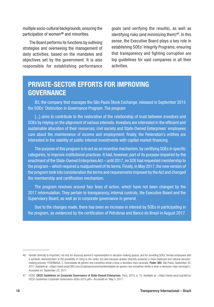multiple socio-cultural backgrounds, ensuring the participation of women<sup>46</sup> and minorities.

The Board performs its functions by outlining strategies and overseeing the management of daily activities, based on the mandates and objectives set by the government. It is also responsible for establishing performance

goals (and verifying the results), as well as identifying risks (and minimizing them)47. In this sense, the Executive Board plays a key role in establishing SOEs' Integrity Programs, ensuring that transparency and fighting corruption are top guidelines for said companies in all their activities.

#### PRIVATE-SECTOR EFFORTS FOR IMPROVING **GOVERNANCE**

B3, the company that manages the São Paulo Stock Exchange, released in September 2015 the SOEs' Distinction in Governance Program. The program

[...] aims to contribute to the restoration of the relationship of trust between investors and SOEs by relying on the alignment of various interests. Investors are interested in the efficient and sustainable allocation of their resources; civil society and State-Owned Enterprises' employees care about the maintenance of income and employment; finally, the Federation's entities are interested in the viability of public interest investments with capital market financing.

The purpose of this program is to act as an incentive mechanism, by certifying SOEs in specific categories, to improve institutional practices. It had, however, part of its purpose impaired by the enactment of the State-Owned Enterprises Act – until 2017, no SOE had requested membership to the program – which required a readjustment of its terms. Finally, in May 2017, the new version of the program took into consideration the terms and requirements imposed by the Act and changed the membership and certification mechanism.

The program revolves around four lines of action, which have not been changed by the 2017 reformulation. They pertain to transparency, internal controls, the Executive Board and the Supervisory Board, as well as to corporate governance in general.

Due to the changes made, there has been an increase in interest by SOEs in participating in the program, as evidenced by the certification of Petrobras and Banco do Brasil in August 2017.

<sup>46</sup> Gender diversity is important, not only for ensuring women's representation in decision-making spaces, and for providing SOEs' female employees with a symbolic demonstration of the possibility of rising in the ranks, but also because greater diversity produces a more balanced and rational decisionmaking process. YOSHINAGA, C. Diversidade de gênero nos conselhos tende a levar a decisões mais racionais. Poder 360. São Paulo, September 22, 2017. Available at: <https://www.poder360.com.br/opiniao/economia/diversidade-de-genero-nos-conselhos-tende-a-levar-a-decisoes-mais-racionais/>. Accessed on: September 23, 2017.

<sup>47</sup> OCDE. OECD Guidelines on Corporate Governance of State-Owned Enterprises. Paris, 2015, p. 70. Available at: <https://www.oecd.org/daf/ca/ OECD-Guidelines-Corporate-Governance-SOEs-2015.pdf>. Accessed on: May 5, 2017.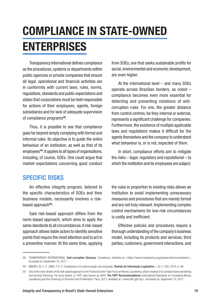# <span id="page-18-0"></span>COMPLIANCE IN STATE-OWNED **ENTERPRISES**

Transparency International defines compliance as the procedures, systems or departments within public agencies or private companies that ensure all legal, operational and financial activities are in conformity with current laws, rules, norms, regulations, standards and public expectations and states that corporations must be held responsible for actions of their employees, agents, foreign subsidiaries and for lack of adequate supervision of compliance programs<sup>48</sup>.

Thus, it is possible to see that compliance goes far beyond simply complying with formal and informal rules. Its objective is to guide the entire behaviour of an institution, as well as that of its employees<sup>49</sup>. It applies to all types of organisations, including, of course, SOEs. One could argue that market expectations concerning good conduct from SOEs, one that seeks sustainable profits for social, environmental and economic development, are even higher.

At the international level – and many SOEs operate across Brazilian borders, as noted – compliance becomes even more essential for detecting and preventing violations of anticorruption rules. For one, the greater distance from control centres, be they internal or external, represents a significant challenge for companies. Furthermore, the existence of multiple applicable laws and regulations makes it difficult for the agents themselves and the company to understand what behaviour is, or is not, expected of them.

In short, compliance efforts aim to mitigate the risks – legal, regulatory and reputational – to which the institution and its employees are subject.

#### SPECIFIC RISKS

An effective integrity program, tailored to the specific characteristics of SOEs and their business models, necessarily involves a riskbased approach<sup>50</sup>.

Said risk-based approach differs from the norm-based approach, which aims to apply the same standards to all circumstances. A risk-based approach allows liable actors to identify sensitive points that require the most attention and to act in a preventive manner. At the same time, applying

the rules in proportion to existing risks allows an institution to avoid implementing unnecessary measures and procedures that are merely formal and are not truly relevant. Implementing complex control mechanisms for low-risk circumstances is costly and inefficient.

Effective policies and procedures require a thorough understanding of the company's business model, including its products and services, third parties, customers, government interactions, and

<sup>48</sup> TRANSPARENCY INTERNATIONAL. Anti-corruption Glossary: Compliance. Available at: <https://www.transparency.org/glossary/term/compliance>. Accessed on: September 23, 2017.

<sup>49</sup> RIBEIRO, M. C. P.; DINIZ, P. D. F. *Compliance* e lei anticorrupção nas empresas. Revista de Informação Legislativa, v. 52, n. 205, 2015, p. 88.

<sup>50</sup> One of the main drivers of the risk-based approach is the Financial Action Task Force on Money Laundering, which employs it to combat money laundering and terrorist financing. For more details, cf. FATF (also known as GAFI). The FATF Recommendations: International Standards on Combating Money Laundering and the Financing of Terrorism and Proliferation. Paris, 2012. Available at: <www.fatf-gafi.org>. Accessed on: September 10, 2017.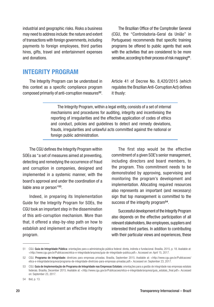<span id="page-19-0"></span>industrial and geographic risks. Risks a business may need to address include: the nature and extent of transactions with foreign governments, including payments to foreign employees, third parties hires, gifts, travel and entertainment expenses and donations.

The Brazilian Office of the Comptroller General (CGU, the "Controladoria-Geral da União" in Portuguese) recommends that specific training programs be offered to public agents that work with the activities that are considered to be more sensitive, according to their process of risk mapping<sup>51</sup>.

#### INTEGRITY PROGRAM

The Integrity Program can be understood in this context as a specific compliance program composed primarily of anti-corruption measures<sup>52</sup>.

Article 41 of Decree No. 8,420/2015 (which regulates the Brazilian Anti-Corruption Act) defines it thusly:

The Integrity Program, within a legal entity, consists of a set of internal mechanisms and procedures for auditing, integrity and incentivising the reporting of irregularities and the effective application of codes of ethics and conduct, policies and guidelines to detect and remedy deviations, frauds, irregularities and unlawful acts committed against the national or foreign public administration.

The CGU defines the Integrity Program within SOEs as "a set of measures aimed at preventing, detecting and remedying the occurrence of fraud and corruption in companies, designed and implemented in a systemic manner, with the board's approval and under the coordination of a liable area or person"53.

Indeed, in preparing its Implementation Guide for the Integrity Program for SOEs, the CGU took an important step in the dissemination of this anti-corruption mechanism. More than that, it offered a step-by-step path on how to establish and implement an effective integrity program.

The first step would be the effective commitment of a given SOE's senior management, including directors and board members, to the program. This commitment needs to be demonstrated by approving, supervising and monitoring the program's development and implementation. Allocating required resources also represents an important (and necessary) sign that top management is committed to the success of the integrity program<sup>54</sup>.

Successful development of the Integrity Program also depends on the effective participation of all relevant stakeholders, like employees, suppliers and interested third parties. In addition to contributing with their particular views and experiences, these

<sup>51</sup> CGU. Guia de Integridade Pública: orientações para a administração pública federal: direta, indireta e fundacional. Brasília, 2015, p. 18. Available at: <http://www.cgu.gov.br/Publicacoes/etica-e-integridade/arquivos/guia-de-integridade-publica.pdf>. Accessed on: April 15, 2017.

<sup>52</sup> CGU. Programa de Integridade: diretrizes para empresas privadas. Brasília, September 2015. Available at: <http://www.cgu.gov.br/Publicacoes/ etica-e-integridade/arquivos/programa-de-integridade-diretrizes-para-empresas-privadas.pdf>. Accessed on: September 23, 2017.

<sup>53</sup> CGU. Guia de Implementação de Programa de Integridade nas Empresas Estatais: orientações para a gestão de integridade nas empresas estatais federais. Brasília, December 2015. Available at: <http://www.cgu.gov.br/Publicacoes/etica-e-integridade/arquivos/guia\_estatais\_final.pdf>. Accessed on: September 23, 2017.

<sup>54</sup> Ibid, p. 13.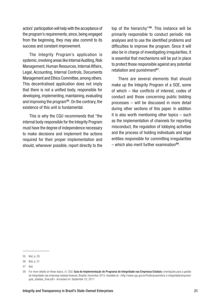actors' participation will help with the acceptance of the program's requirements, since, being engaged from the beginning, they may also commit to its success and constant improvement.

The Integrity Program's application is systemic, involving areas like Internal Auditing, Risk Management, Human Resources, Internal Affairs, Legal, Accounting, Internal Controls, Documents Management and Ethics Committee, among others. This decentralised application does not imply that there is not a unified body, responsible for developing, implementing, maintaining, evaluating and improving the program55. On the contrary, the existence of this unit is fundamental.

This is why the CGU recommends that "the internal body responsible for the Integrity Program must have the degree of independence necessary to make decisions and implement the actions required for their proper implementation and should, whenever possible, report directly to the top of the hierarchy"<sup>56</sup>. This instance will be primarily responsible to conduct periodic risk analyses and to use the identified problems and difficulties to improve the program. Since it will also be in charge of investigating irregularities, it is essential that mechanisms will be put in place to protect those responsible against any potential retaliation and punishment<sup>57</sup>.

There are several elements that should make up the Integrity Program of a SOE, some of which – like conflicts of interest, codes of conduct and those concerning public bidding processes – will be discussed in more detail during other sections of this paper. In addition it is also worth mentioning other topics – such as the implementation of channels for reporting misconduct, the regulation of lobbying activities and the process of holding individuals and legal entities responsible for committing irregularities – which also merit further examination58.

<sup>55</sup> Ibid, p. 20.

<sup>56</sup> Ibid, p. 21.

<sup>57</sup> Ibid.

<sup>58</sup> For more details on these topics, cf. CGU. Guia de Implementação de Programa de Integridade nas Empresas Estatais: orientações para a gestão de integridade nas empresas estatais federais. Brasília, December 2015. Available at: <http://www.cgu.gov.br/Publicacoes/etica-e-integridade/arquivos/ quia\_estatais\_final.pdf>. Accessed on: September 23, 2017.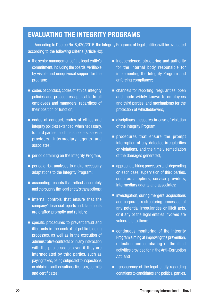#### EVALUATING THE INTEGRITY PROGRAMS

According to Decree No. 8,420/2015, the Integrity Programs of legal entities will be evaluated according to the following criteria (article 42):

- the senior management of the legal entity's commitment, including the boards, verifiable by visible and unequivocal support for the program;
- codes of conduct, codes of ethics, integrity policies and procedures applicable to all employees and managers, regardless of their position or function;
- codes of conduct, codes of ethics and integrity policies extended, when necessary, to third parties, such as suppliers, service providers, intermediary agents and associates;
- periodic training on the Integrity Program;
- periodic risk analyses to make necessary adaptations to the Integrity Program;
- accounting records that reflect accurately and thoroughly the legal entity's transactions;
- internal controls that ensure that the company's financial reports and statements are drafted promptly and reliably;
- specific procedures to prevent fraud and illicit acts in the context of public bidding processes, as well as in the execution of administrative contracts or in any interaction with the public sector, even if they are intermediated by third parties, such as paying taxes, being subjected to inspections or obtaining authorisations, licenses, permits and certificates;
- independence, structuring and authority for the internal body responsible for implementing the Integrity Program and enforcing compliance;
- channels for reporting irregularities, open and made widely known to employees and third parties, and mechanisms for the protection of whistleblowers;
- disciplinary measures in case of violation of the Integrity Program;
- procedures that ensure the prompt interruption of any detected irregularities or violations, and the timely remediation of the damages generated;
- appropriate hiring processes and, depending on each case, supervision of third parties, such as suppliers, service providers, intermediary agents and associates;
- investigation, during mergers, acquisitions and corporate restructuring processes, of any potential irregularities or illicit acts, or if any of the legal entities involved are vulnerable to them;
- continuous monitoring of the Integrity Program aiming at improving the prevention, detection and combating of the illicit activities provided for in the Anti-Corruption Act; and
- transparency of the legal entity regarding donations to candidates and political parties.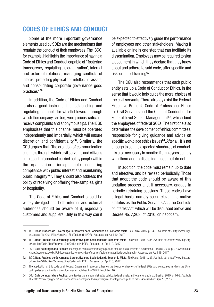#### <span id="page-22-0"></span>CODES OF ETHICS AND CONDUCT

Some of the more important governance elements used by SOEs are the mechanisms that regulate the conduct of their employees. The IBGC, for example, highlights the importance of having a Code of Ethics and Conduct capable of "fostering transparency, regulating the organisation's internal and external relations, managing conflicts of interest, protecting physical and intellectual assets, and consolidating corporate governance good practices"59.

In addition, the Code of Ethics and Conduct is also a good instrument for establishing and regulating channels for whistleblowers, through which the company can be given opinions, criticism, receive complaints and anonymous tips. The IBGC emphasises that this channel must be operated independently and impartially, which will ensure discretion and confidentiality<sup>60</sup>. Similarly, the CGU argues that "the creation of communication channels through which civil servants and citizens can report misconduct carried out by people within the organisation is indispensable to ensuring compliance with public interest and maintaining public integrity"61. They should also address the policy of receiving or offering free-samples, gifts or hospitality.

The Code of Ethics and Conduct should be widely divulged and both internal and external audiences should be aware of it, especially customers and suppliers. Only in this way can it be expected to effectively guide the performance of employees and other stakeholders. Making it available online is one step that can facilitate its dissemination. Employees may be required to sign a document in which they declare that they know about and adhere to said code, after specific and risk-oriented training62.

The CGU also recommends that each public entity sets up a Code of Conduct or Ethics, in the sense that it would help guide the moral choices of the civil servants. There already exist the Federal Executive Branch's Code of Professional Ethics for Civil Servants and the Code of Conduct of for Federal-level Senior Management<sup>63</sup>, which bind the employees of federal SOEs. The first one also determines the development of ethics committees, responsible for giving guidance and advice on specific workplace ethics issues<sup>64</sup>. After all, it is not enough to set the expected standards of conduct, it is also necessary to monitor if employees comply with them and to discipline those that do not.

In addition, the code must remain up to date and effective, and be revised periodically. Those that adopt the code should be aware of this updating process and, if necessary, engage in periodic retraining sessions. These codes have a legal basis, namely such relevant normative statutes as the Public Servants Act, the Conflicts of Interest Act, which will be discussed below, and Decree No. 7,203, of 2010, on nepotism.

<sup>59</sup> IBGC. Boas Práticas de Governança Corporativa para Sociedades de Economia Mista. São Paulo, 2015, p. 34-5. Available at: <http://www.ibgc. org.br/userfiles/2014/files/Arquivos\_Site/Caderno14.PDF>. Accessed on: April 10, 2017.

<sup>60</sup> IBGC. Boas Práticas de Governança Corporativa para Sociedades de Economia Mista. São Paulo, 2015, p. 35. Available at: <http://www.ibgc.org. br/userfiles/2014/files/Arquivos\_Site/Caderno14.PDF>. Accessed on: April 10, 2017.

<sup>61</sup> CGU. Guia de Integridade Pública: orientações para a administração pública federal: direta, indireta e fundacional. Brasília, 2015, p. 37. Available at: <http://www.cgu.gov.br/Publicacoes/etica-e-integridade/arquivos/guia-de-integridade-publica.pdf>. Accessed on: April 15, 2017.

<sup>62</sup> IBGC. Boas Práticas de Governança Corporativa para Sociedades de Economia Mista. São Paulo, 2015, p. 35. Available at: <http://www.ibgc.org. br/userfiles/2014/files/Arquivos\_Site/Caderno14.PDF>. Accessed on: April 10, 2017.

<sup>63</sup> The application of this code to all Federal Government representatives on the boards of directors of federal SOEs and companies in which the Union participates as a minority shareholder was established by CGPAR Resolution 10.

<sup>64</sup> CGU. Guia de Integridade Pública: orientações para a administração pública federal: direta, indireta e fundacional. Brasília, 2015, p. 16-8. Available at: <http://www.cgu.gov.br/Publicacoes/etica-e-integridade/arquivos/guia-de-integridade-publica.pdf>. Accessed on: April 15, 2017.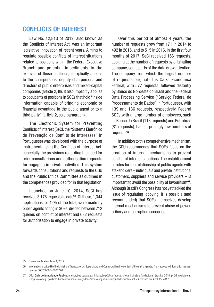#### <span id="page-23-0"></span>CONFLICTS OF INTEREST

Law No. 12,813 of 2012, also known as the Conflicts of Interest Act, was an important legislative innovation of recent years. Aiming to regulate possible conflicts of interest situations related to positions within the Federal Executive Branch and potential impediments to the exercise of those positions, it explicitly applies to the chairpersons, deputy-chairpersons and directors of public enterprises and mixed-capital companies (article 2, III). It also implicitly applies to occupants of positions in SOEs that hold "inside information capable of bringing economic or financial advantage to the public agent or to a third party" (article 2, sole paragraph).

The Electronic System for Preventing Conflicts of Interest (SeCI, the "Sistema Eletrônico de Prevenção de Conflito de Interesses" in Portuguese) was developed with the purpose of instrumentalising the Conflicts of Interest Act, especially the provisions regarding the need for prior consultations and authorisation requests for engaging in private activities. This system forwards consultations and requests to the CGU and the Public Ethics Committee as outlined in the competences provided for in that legislation.

Launched on June 10, 2014, SeCI has received 3,178 requests to date<sup>65</sup>. Of these, 1,344 applications, or 42% of the total, were made by public agents acting in SOEs, divided between 712 queries on conflict of interest and 632 requests for authorisation to engage in private activity.

Over this period of almost 4 years, the number of requests grew from 171 in 2014 to 492 in 2015, and to 515 in 2016. In the first four months of 2017, SeCI received 166 requests. Looking at the number of requests by originating company, some parts of the data draw attention. The company from which the largest number of requests originated is Caixa Econômica Federal, with 577 requests, followed distantly by Banco do Nordeste do Brasil and the Federal Data Processing Service ("Serviço Federal de Processamento de Dados" in Portuguese), with 139 and 136 requests, respectively. Federal SOEs with a large number of employees, such as Banco do Brasil (113 requests) and Petrobras (81 requests), had surprisingly low numbers of requests<sup>66</sup>.

In addition to this comprehensive mechanism, the CGU recommends that SOEs focus on the creation of internal mechanisms to prevent conflict of interest situations. The establishment of rules for the relationship of public agents with stakeholders – individuals and private institutions, customers, suppliers and service providers – is important to avoid the possibility of favouritism<sup>67</sup>. Although Brazil's Congress has not yet tackled the issue of regulating lobbying, it is possible (and recommended) that SOEs themselves develop internal mechanisms to prevent abuse of power, bribery and corruption scenarios.

<sup>65</sup> Date of verification: May 4, 2017.

<sup>66</sup> Information provided by the Ministry of Transparency, Supervisory and Control, within the context of the suit originated from access to information request number 00075000540201776.

<sup>67</sup> CGU. Guia de Integridade Pública: orientações para a administração pública federal: direta, indireta e fundacional. Brasília, 2015, p. 26. Available at: <http://www.cqu.gov.br/Publicacoes/etica-e-integridade/arquivos/guia-de-integridade-publica.pdf>. Accessed on: April 15, 2017.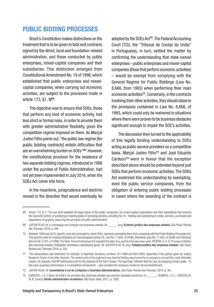#### <span id="page-24-0"></span>PUBLIC BIDDING PROCESSES

Brazil's Constitution makes distinctions on the treatment that is to be given to bids and contracts signed by the direct, local and foundation-related administration, and those conducted by public enterprises, mixed-capital companies and their subsidiaries. This distinction emerged from Constitutional Amendment No. 19 of 1998, which established that public enterprises and mixedcapital companies, when carrying out economic activities, are subject to the provisions made in article 173, §1, Ill<sup>68</sup>.

The objective was to ensure that SOEs, those that perform any kind of economic activity, had less strict or formal rules, in order to provide them with greater administrative flexibility, given the competition regime imposed on them. As Marçal Justen Filho points out, "the public law regime [for public bidding contracts] entails difficulties that are an overwhelming burden on SOEs"69. However, the constitutional provision for the existence of two separate bidding regimes, introduced in 1998 under the purview of Public Administration, had not yet been implemented in July 2016, when the SOEs Act came into force.

In the meantime, jurisprudence and doctrine moved in the direction that would eventually be

adopted by the SOEs Act<sup>70</sup>. The Federal Accounting Court (TCU, the "Tribunal de Contas da União" in Portuguese), in turn, settled the matter by confirming the understanding that state-owned enterprises – public enterprises and mixed-capital companies (those that perform economic activities) – would be exempt from complying with the General Regime for Public Biddings (Law No. 8,666, from 1993) when performing their main economic activities<sup>71</sup>. Conversely, in the contracts involving their other activities, they should observe the provisions contained in Law No. 8,666, of 1993, which could only be waivered in situations where there were proven to be business obstacles significant enough to impair the SOE's activities.

The discussion then turned to the applicability of this legally binding understanding to SOEs acting as public service providers on a competitive basis. Marcal Justen Filho<sup>72</sup> and José Eduardo Cardozo<sup>73</sup> were in favour that the exception described above should be extended beyond just SOEs that perform economic activities. The SOEs Act enshrined this understanding by exempting. even the public service companies, from the obligation of entering public bidding processes in cases where the awarding of the contract is

<sup>68</sup> Article 173, § 1: "The law shall establish the legal status of the public companies, the mixed-capital corporations and their subsidiaries that conduct the economic activity of producing or trading goods or providing services, providing for: III – bidding and contracting of works, services, purchases and dispositions of property, observing the principles of public administration".

<sup>69</sup> JUSTEN FILHO, M. A contratação sem licitação nas empresas estatais. IN: (org.) Estatuto jurídico das empresas estatais. São Paulo: Revista dos Tribunais, 2016, p. 285.

<sup>70</sup> Between 1998 and 2016, specific rules also emerged for some SOEs, expressly exempting them from complying with the Public Bidding Processes Act. This was the case for Empresa Brasileira de Comunicações (article 25, Law No. 11,625, of 2008), Eletrobras (Law No. 11,943, of 2009) and Petrobras (Decree No. 2,475, of 1998). The State-Owned Enterprises Act repealed the latter two, and the first was never used. PEREIRA, C. A. G. Processo licitatório das empresas estatais: finalidades, princípios e disposições gerais. IN: JUSTEN FILHO, M. (org.) Estatuto jurídico das empresas estatais. São Paulo: Revista dos Tribunais, 2016, p. 350.

<sup>71</sup> This interpretation was enshrined, for example, in Appellate Decisions numbers 121-1998 and 624-2003, especially in the opinion given by Justice Benjamin Zymler in the latter Decision. The central point of the argument was that the bidding requirement for a company's core activity could ultimately require, for example, that BR Distribuidora bid for the disposal of the fuel it trades. The legal logic followed that the Law, by assigning certain goals – in this case, business performance in a competitive environment -, also provides the necessary means for its accomplishment.

<sup>72</sup> JUSTEN FILHO, M. Comentários à Lei de Licitações e Contratos Administrativos. São Paulo: Revista dos Tribunais, 2014, p. 39.

<sup>73</sup> CARDOZO, J. E. O dever de licitar e os contratos das empresas estatais que exercem atividade econômica. In: \_\_\_\_\_\_; QUEIROZ, J. E. L.; SANTOS, M. W. B. (coord.) Direito administrativo econômico. São Paulo: Atlas, 2011, p. 1292.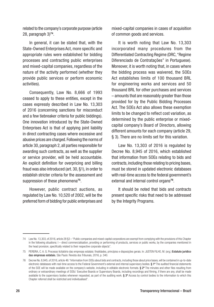related to the company's corporate purpose (article 28, paragraph 3)74.

In general, it can be stated that, with the State-Owned Enterprises Act, more specific and appropriate rules were established for bidding processes and contracting public enterprises and mixed-capital companies, regardless of the nature of the activity performed (whether they provide public services or perform economic activities).

Consequently, Law No. 8,666 of 1993 ceased to apply to these entities, except in the cases expressly described in Law No. 13,303 of 2016 (concerning sanctions for misconduct and a few tiebreaker criteria for public biddings). One innovation introduced by the State-Owned Enterprises Act is that of applying joint liability in direct contracting cases where excessive and abusive prices are charged. Following the norms of article 30, paragraph 2, all parties responsible for awarding such contracts, as well as the supplier or service provider, will be held accountable. An explicit definition for overpricing and billing fraud was also introduced (art. 30, §1), in order to establish stricter criteria for the assessment and suppression of these phenomena<sup>75</sup>.

However, public contract auctions, as regulated by Law No. 10,520 of 2002, will be the preferred form of bidding for public enterprises and

mixed-capital companies in cases of acquisition of common goods and services.

It is worth noting that Law No. 13,303 incorporated many procedures from the Differentiated Contracting Regime (DRC, "Regime Diferenciado de Contratações" in Portuguese). Moreover, it is worth noting that, in cases where the bidding process was waivered, the SOEs Act establishes limits of 100 thousand BRL for engineering works and services and 50 thousand BRL for other purchases and services – amounts that are reasonably greater than those provided for by the Public Bidding Processes Act. The SOEs Act also allows these exemption limits to be changed to reflect cost variation, as determined by the public enterprise or mixedcapital company's Board of Directors, allowing different amounts for each company (article 29, § 3). There are no limits set for this variation.

Law No. 13,303 of 2016 is regulated by Decree No. 8,945 of 2016, which established that information from SOEs relating to bids and contracts, including those relating to pricing bases, must be stored in updated electronic databases with real-time access to the federal government's external and internal control organs<sup>76</sup>.

It should be noted that bids and contracts present specific risks that need to be addressed by the Integrity Programs.

<sup>74</sup> Law No. 13,303, of 2016, article 28 §3 – "Public companies and mixed-capital corporations are exempt from complying with the provisions of this Chapter in the following situations: I – direct commercialisation, providing or performing of products, services or public works, by the companies mentioned in the head provision, specifically related to their respective corporate objects".

<sup>75</sup> PEREIRA, C. A. G. Processo licitatório das empresas estatais: finalidades, princípios e disposições gerais. In: JUSTEN FILHO, M. (org.) Estatuto jurídico das empresas estatais. São Paulo: Revista dos Tribunais, 2016, p. 340.

<sup>76</sup> Decree No. 8,945, of 2016, article 46: "Information from SOEs about bids and contracts, including those about price bases, will be contained in up-to-date electronic databases with real-time access to the Federal Government's external and internal supervisory bodies. § 1º The audited financial statements of the SOE will be made available on the company's website, including in editable electronic formats. § 2º The minutes and other files resulting from ordinary or extraordinary meetings of SOEs' Executive Boards or Supervisory Boards, including recordings and filming, if there are any, shall be made available to the supervisory bodies whenever requested, as part of the auditing work. § 3º Access by control bodies to the information to which this Chapter referred shall be restricted and individualised".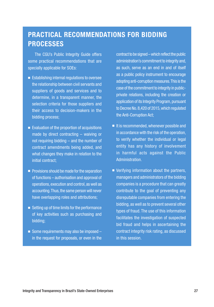#### PRACTICAL RECOMMENDATIONS FOR BIDDING **PROCESSES**

The CGU's Public Integrity Guide offers some practical recommendations that are specially applicable for SOEs:

- Establishing internal regulations to oversee the relationship between civil servants and suppliers of goods and services and to determine, in a transparent manner, the selection criteria for those suppliers and their access to decision-makers in the bidding process;
- Evaluation of the proportion of acquisitions made by direct contracting – waiving or not requiring bidding – and the number of contract amendments being added, and what changes they make in relation to the initial contract;
- Provisions should be made for the separation of functions – authorisation and approval of operations, execution and control, as well as accounting. Thus, the same person will never have overlapping roles and attributions;
- Setting up of time limits for the performance of key activities such as purchasing and bidding;
- Some requirements may also be imposed  $$ in the request for proposals, or even in the

contract to be signed – which reflect the public administration's commitment to integrity and, as such, serve as an end in and of itself as a public policy instrument to encourage adopting anti-corruption measures. This is the case of the commitment to integrity in publicprivate relations, including the creation or application of its Integrity Program, pursuant to Decree No. 8,420 of 2015, which regulated the Anti-Corruption Act;

- It is recommended, whenever possible and in accordance with the risk of the operation, to verify whether the individual or legal entity has any history of involvement in harmful acts against the Public Administration.
- Verifying information about the partners, managers and administrators of the bidding companies is a procedure that can greatly contribute to the goal of preventing any disreputable companies from entering the bidding, as well as to prevent several other types of fraud. The use of this information facilitates the investigation of suspected bid fraud and helps in ascertaining the contract integrity risk rating, as discussed in this session.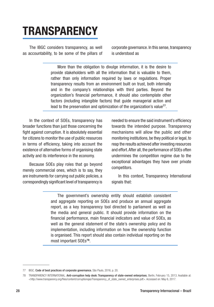### <span id="page-27-0"></span>**TRANSPARENCY**

The IBGC considers transparency, as well as accountability, to be some of the pillars of corporate governance. In this sense, transparency is understood as

More than the obligation to divulge information, it is the desire to provide stakeholders with all the information that is valuable to them, rather than only information required by laws or regulations. Proper transparency results from an environment built on trust, both internally and in the company's relationships with third parties. Beyond the organization's financial performance, it should also contemplate other factors (including intangible factors) that guide managerial action and lead to the preservation and optimization of the organization's value77.

In the context of SOEs, transparency has broader functions than just those concerning the fight against corruption. It is absolutely essential for citizens to monitor the use of public resources in terms of efficiency, taking into account the existence of alternative forms of organising state activity and its interference in the economy.

Because SOEs play roles that go beyond merely commercial ones, which is to say, they are instruments for carrying out public policies, a correspondingly significant level of transparency is needed to ensure the said instrument's efficiency towards the intended purpose. Transparency mechanisms will allow the public and other monitoring institutions, be they political or legal, to reap the results achieved after investing resources and effort. After all, the performance of SOEs often undermines the competition regime due to the exceptional advantages they have over private competitors.

In this context, Transparency International signals that:

The government's ownership entity should establish consistent and aggregate reporting on SOEs and produce an annual aggregate report, as a key transparency tool directed to parliament as well as the media and general public. It should provide information on the financial performance, main financial indicators and value of SOEs, as well as the general statement of the state's ownership policy and its implementation, including information on how the ownership function is organised. This report should also contain individual reporting on the most important SOEs78.

<sup>77</sup> IBGC. Code of best practices of corporate governance. São Paulo, 2016, p. 20.

<sup>78</sup> TRANSPARENCY INTERNATIONAL. Anti-corruption help desk: Transparency of state-owned enterprises. Berlin, February 15, 2013. Available at: <http://www.transparency.org/files/content/corruptiongas/Transparency\_of\_state\_owned\_enterprises.pdf>. Accessed on: May 6, 2017.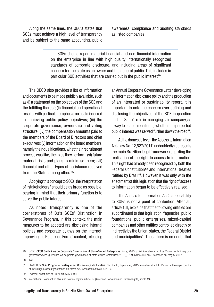Along the same lines, the OECD states that SOEs must achieve a high level of transparency and be subject to the same accounting, public

awareness, compliance and auditing standards as listed companies.

SOEs should report material financial and non-financial information on the enterprise in line with high quality internationally recognized standards of corporate disclosure, and including areas of significant concern for the state as an owner and the general public. This includes in particular SOE activities that are carried out in the public interest<sup>79</sup>.

The OECD also provides a list of information and documents to be made publicly available, such as (i) a statement on the objectives of the SOE and the fulfilling thereof; (ii) financial and operational results, with particular emphasis on costs incurred in achieving public policy objectives; (iii) the corporate governance, ownership and voting structure; (iv) the compensation amounts paid to the members of the Board of Directors and chief executives: (v) information on the board members, namely their qualifications, what their recruitment process was like, the roles they perform; (vi) future material risks and plans to minimise them; (vii) financial and other types of assistance received from the State; among others<sup>80</sup>.

Applying this concept to SOEs, the interpretation of "stakeholders" should be as broad as possible, bearing in mind that their primary function is to serve the public interest.

As noted, transparency is one of the cornerstones of B3's SOEs' Distinction in Governance Program. In this context, the main measures to be adopted are disclosing internal policies and corporate bylaws on the internet, improving the Reference Forms' content, releasing an Annual Corporate Governance Letter, developing an information disclosure policy and the production of an integrated or sustainability report. It is important to note the concern over defining and disclosing the objectives of the SOE in question and the State's role in managing said company, as a way to enable monitoring whether the purported public interest was served further down the road<sup>81</sup>.

At the domestic level, the Access to Information Act (Law No. 12,527/2011) undoubtedly represents the main Brazilian legal framework regarding the realisation of the right to access to information. This right had already been recognised by both the Federal Constitution<sup>82</sup> and international treaties ratified by Brazil<sup>83</sup>. However, it was only with the enactment of this legislation that the right of access to information began to be effectively realised.

The Access to Information Act's applicability to SOEs is not a point of contention. After all, article 1, II, explains that the following entities are subordinated to that legislation: "agencies, public foundations, public enterprises, mixed-capital companies and other entities controlled directly or indirectly by the Union, states, the Federal District and municipalities". Thus, there is no doubt that

<sup>79</sup> OCDE. OECD Guidelines on Corporate Governance of State-Owned Enterprises. Paris, 2015, p. 24. Available at: <[https://www.oecd-ilibrary.org/](https://www.oecd-ilibrary.org/governance/oecd-guidelines-on-corporate-governance-of-state-owned-enterprises-2015_9789264244160-en) [governance/oecd-guidelines-on-corporate-governance-of-state-owned-enterprises-2015\\_9789264244160-en](https://www.oecd-ilibrary.org/governance/oecd-guidelines-on-corporate-governance-of-state-owned-enterprises-2015_9789264244160-en)>. Accessed on: May 5, 2017.

<sup>80</sup> Ibid.

<sup>81</sup> BM&F BOVESPA. Programa Destaque em Governança de Estatais. São Paulo, September, 2015. Available at: <http://www.bmfbovespa.com.br/ pt\_br/listagem/acoes/governanca-de-estatais/>. Accessed on: May 5, 2017.

<sup>82</sup> Federal Constitution of Brazil, article 5, XXXIII.

<sup>83</sup> International Covenant on Civil and Political Rights, article 19 (American Convention on Human Rights, article 13).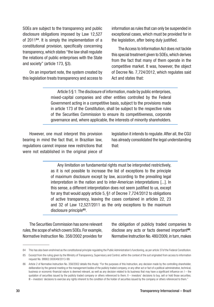SOEs are subject to the transparency and public disclosure obligations imposed by Law 12,527 of 201184. It is simply the implementation of a constitutional provision, specifically concerning transparency, which states "the law shall regulate the relations of public enterprises with the State and society" (article 173, §3).

On an important note, the system created by this legislation treats transparency and access to

information as rules that can only be suspended in exceptional cases, which must be provided for in the legislation, after being duly justified.

The Access to Information Act does not tackle this special treatment given to SOEs, which derives from the fact that many of them operate in the competitive market. It was, however, the object of Decree No. 7,724/2012, which regulates said Act and states that:

Article 5 § 1: The disclosure of information, made by public enterprises, mixed-capital companies and other entities controlled by the Federal Government acting in a competitive basis, subject to the provisions made in article 173 of the Constitution, shall be subject to the respective rules of the Securities Commission to ensure its competitiveness, corporate governance and, where applicable, the interests of minority shareholders.

However, one must interpret this provision bearing in mind the fact that, in Brazilian law, regulations cannot impose new restrictions that were not established in the original piece of

legislation it intends to regulate. After all, the CGU has already consolidated the legal understanding that:

Any limitation on fundamental rights must be interpreted restrictively, as it is not possible to increase the list of exceptions to the principle of maximum disclosure except by law, according to the prevailing legal interpretation in the nation and to inter-American interpretations [...]. In this sense, a different interpretation does not seem justified to us, except for any that would apply article 5, §1 of Decree 7,724/2012 to obligations of active transparency, leaving the cases contained in articles 22, 23 and 32 of Law 12,527/2011 as the only exceptions to the maximum disclosure principle<sup>85</sup>.

The Securities Commission has some relevant rules, the scope of which covers SOEs. For example, Normative Instruction No. 358/2002 provides for the obligation of publicly traded companies to disclose any acts or facts deemed important<sup>86</sup>. Normative Instruction No. 480/2009, in turn, makes

<sup>84</sup> This has also been enshrined as the constitutional principle regulating the Public Administration's functioning, as per article 37of the Federal Constitution.

<sup>85</sup> Excerpt from the ruling given by the Ministry of Transparency, Supervisory and Control, within the context of the suit originated from access to information request No. 99902.000049/2013-99.

<sup>86</sup> Article 2 of Normative Instruction No. 358/2002 details this thusly: "For the purposes of this Instruction, any decision made by the controlling shareholder, deliberation by the general meeting or the management bodies of the publicly traded company, or any other act or fact of a political-administrative, technical, business or economic-financial nature is deemed relevant, as well as any decision related to its business that may have a significant influence on: I – the quotation of securities issued by the publicly traded company or others referenced to them; II – investors' decisions to buy, sell or hold those securities; III – investors' decisions to exercise any rights inherent to the condition of the holder of securities issued by the company or others referenced to them."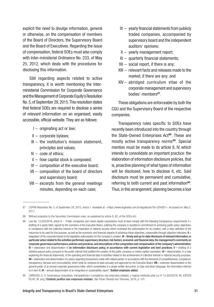explicit the need to divulge information, general or otherwise, on the compensation of members of the Board of Directors, the Supervisory Board and the Board of Executives. Regarding the issue of compensation, federal SOEs must also comply with Inter-ministerial Ordinance No. 233, of May 25, 2012, which deals with the procedures for disclosing this information.

Still regarding aspects related to active transparency, it is worth mentioning the Interministerial Commission for Corporate Governance and the Management of Corporate Equity's Resolution No. 5, of September 29, 2015. This resolution states that federal SOEs are required to disclose a series of relevant information on an organised, easily accessible, official website. They are as follows:

- I originating act or law;
- II corporate bylaws;
- III the institution's mission statement, principles and values;
- IV code of ethics;
- V how capital stock is composed;
- VI composition of the executive board;
- VII composition of the board of directors and supervisory board;
- VIII excerpts from the general meetings minutes, depending on each case;
- $IX -$  yearly financial statements from publicly traded companies, accompanied by supervisory board and the independent auditors' opinions;
- X yearly management report;
- XI quarterly financial statements;
- XII social report, if there is any;
- XIII relevant facts and releases made to the market, if there are any; and
- XIV abridged curriculum vitae of the corporate management and supervisory bodies' members<sup>87</sup>.

These obligations are enforceable by both the CGU and the Supervisory Board of the respective companies.

Transparency rules specific to SOEs have recently been introduced into the country through the State-Owned Enterprises Act<sup>88</sup>. These are mostly active transparency norms<sup>89</sup>. Special mention must be made to its article 8, IV, which intends to consolidate an important practice: the elaboration of information disclosure policies, that is, proactive planning of what types of information will be disclosed, how to disclose it, etc. Said disclosure must be permanent and cumulative, referring to both current and past information<sup>90</sup>. Thus, in this arrangement, planning becomes a tool

90 CARDOSO, A. G. Governança corporativa, transparência e compliance nas empresas estatais: o regime instituído pela Lei nº 13.303/2016. IN: JUSTEN FILHO, M. (org.) Estatuto jurídico das empresas estatais. São Paulo: Revista dos Tribunais, 2016, p. 101.

<sup>87</sup> CGPAR Resolution No. 5, of September 29, 2015, article 1. Available at: <https://www.legisweb.com.br/legislacao/?id=304267>. Accessed on: May 5, 2017.

<sup>88</sup> Without prejudice to the Securities Commission rules, as explained by article 8, §3, of the SOEs Act.

<sup>89</sup> Law No. 13,303/2016, article 8 – "Public companies and mixed-capital corporations must at least comply with the following transparency requirements: I – drafting of a yearly letter, signed by the members of the Executive Board, outlining the company in question's commitment to achieving public policy objectives, in compliance with the collective interest or the imperative of national security which motivated the authorisation for its creation, with a clear definition of the resources to be used for this purpose, as well as the economic and financial impacts of achieving these objectives, measurable through objective indicators;  $II$ adaptation of the corporate bylaws to the legislative authorisation for the company's creation; III - timely and up-to-date disclosure of relevant information, in particular when related to the activities performed, supervisory structure, risk factors, economic and financial data, the management's comments on corporate governance performance, policies and practices, and descriptions of the composition and compensation of the company's administration; IV – elaboration and dissemination of an information disclosure policy, in accordance with current legislation and best practices; V – drafting of a dividend payout policy, pursuant to the public interest that justified the creation of the public company or mixed-capital corporation; VI – dissemination, in a note explaining the financial statements, of the operating and financial data of activities related to the achievement of collective interest or national security purposes; VII – elaboration and dissemination of a policy regarding transactions made with related parties, in accordance with the demands of competitiveness, compliance, transparency, fairness and commutativity, which shall be reviewed at least annually and approved by the Executive Board; VIII – extensive dissemination to the general public of an annual corporate governance letter, which consolidates in a single written document, in clear and direct language, the information referred to in item III: IX – annual dissemination of an integrated or sustainability report". Bolded emphasis added.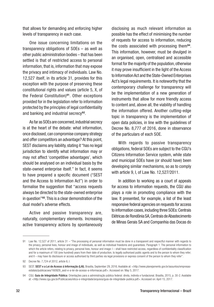that allows for demanding and enforcing higher levels of transparency in each case.

One issue concerning limitations on the transparency obligations of SOEs – as well as other public administration bodies – that has been settled is that of restricted access to personal information, that is, information that may expose the privacy and intimacy of individuals. Law No. 12,527 itself, in its article 31, provides for this exception with the purpose of preserving these constitutional rights and values (article 5, X, of the Federal Constitution)91. Other exceptions provided for in the legislation refer to information protected by the principles of legal confidentiality and banking and industrial secrecy<sup>92</sup>.

As far as SOEs are concerned, industrial secrecy is at the heart of the debate: what information, once disclosed, can compromise company strategy and offer competitors an advantage? At this point, SEST disclaims any liability, stating it "has no legal jurisdiction to identify what information may or may not affect 'competitive advantages', which should be analysed on an individual basis by the state-owned enterprise itself." In fact, it seems to have prepared a specific document ("SEST and the Access to Information Act") in order to formalise the suggestion that "access requests always be directed to the state-owned enterprise in question"93. This is a clear demonstration of the dual model's adverse effects.

Active and passive transparency are, naturally, complementary elements. Increasing active transparency actions by spontaneously

disclosing as much relevant information as possible has the effect of minimising the number of requests for access to information, reducing the costs associated with processing them94. This information, however, must be divulged in an organised, open, centralised and accessible format for the majority of the population, otherwise it may prove insufficient in the light of the Access to Information Act and the State-Owned Enterprises Act's legal requirements. It is noteworthy that the contemporary challenge for transparency will be the implementation of a new generation of instruments that allow for more friendly access to content and, above all, the viability of handling the information offered. Another cutting-edge topic in transparency is the implementation of open data policies, in line with the guidelines of Decree No. 8,777 of 2016, done in observance of the particulars of each SOE.

With regards to passive transparency obligations, federal SOEs are subject to the CGU's Citizens Information Service system, while state and municipal SOEs have (or should have) been developing similar mechanisms, so as to comply with article 9, I, of Law No. 12,527/2011.

In addition to working as a court of appeals for access to information requests, the CGU also plays a role in promoting compliance with the law. It presented, for example, a list of the least responsive federal agencies on requests for access to information cases, including three SOEs: Centrais Elétricas de Rondônia SA, Centrais de Abastecimento de Minas Gerais SA and Companhia das Docas do

<sup>91</sup> Law No. 12,527 of 2011, article 31 – "The processing of personal information must be done in a transparent and respectful manner with regards to the privacy, personal lives, honour and image of individuals, as well as individual freedoms and guarantees. Paragraph 1. The personal information to which the article refers, relating to privacy, personal lives, honour and image: I - shall have restricted access, regardless of confidentiality classification and for a maximum of 100 (one hundred) years from their date of production, to legally authorised public agents and to the person to whom they refer; and II – may have its disclosure or access authorised by third parties via legal provisions or express consent of the person to whom they refer".

<sup>92</sup> Decree No. 7,724 of 2012, article 6, I.

<sup>93</sup> SEST. SEST e a Lei de Acesso à Informação (LAI). Brasília, September 29, 2016. Available at: <http://www.planejamento.gov.br/assuntos/empresasestatais/publicacoes/160929\_sest-e-a-lei-de-acesso-a-informacao.pdf>. Accessed on: May 5, 2017.

<sup>94</sup> CGU. Guia de Integridade Pública: Orientações para a administração pública federal: direta, indireta e fundacional. Brasília, 2015, p. 30-2. Available at: <http://www.cgu.gov.br/Publicacoes/etica-e-integridade/arquivos/guia-de-integridade-publica.pdf>. Accessed on: April 15, 2017.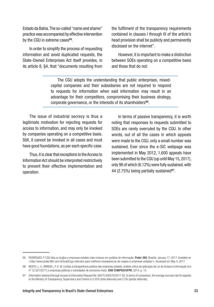Estado da Bahia. The so-called "name and shame" practice was accompanied by effective intervention by the CGU in extreme cases<sup>95</sup>.

In order to simplify the process of requesting information and avoid duplicated requests, the State-Owned Enterprises Act itself provides, in its article 8, §4, that "documents resulting from the fulfilment of the transparency requirements contained in clauses I through IX of the article's head provision shall be publicly and permanently disclosed on the internet".

However, it is important to make a distinction between SOEs operating on a competitive basis and those that do not:

The CGU adopts the understanding that public enterprises, mixedcapital companies and their subsidiaries are not required to respond to requests for information when said information may result in an advantage for their competitors, compromising their business strategy, corporate governance, or the interests of its shareholders<sup>96</sup>.

The issue of industrial secrecy is thus a legitimate motivation for rejecting requests for access to information, and may only be invoked by companies operating on a competitive basis. Still, it cannot be invoked in all cases and must have good foundations, as per each specific case.

Thus, it is clear that exceptions to the Access to Information Act should be interpreted restrictively to prevent their effective implementation and operation.

In terms of passive transparency, it is worth noting that responses to requests submitted to SOEs are rarely overruled by the CGU. In other words, out of all the cases in which appeals were made to the CGU, only a small number was sustained. Ever since the e-SIC webpage was implemented in May 2012, 1,600 appeals have been submitted to the CGU (up until May 15, 2017), only 98 of which (6.12%) were fully sustained, with 44 (2.75%) being partially sustained<sup>97</sup>.

<sup>95</sup> RODRIGUES, P. CGU lista os órgãos e empresas estatais mais omissos em pedidos de informação. Poder 360. Brasília, January 17, 2017. Available at: <http://www.poder360.com.br/brasil/cgu-intervem-para-melhorar-transparencia-de-orgaos-e-empresas-estatais/>. Accessed on: May 4, 2017.

<sup>96</sup> BENTO, L. V.; BRINGEL, P. O. M. Limites à transparência pública das empresas estatais: análise crítica da aplicação da Lei de Acesso à Informação (Lei nº 12.527/2011) a empresas públicas e sociedades de economia mista. XXIII COMPEDI/UFPB, 2014, p. 13.

<sup>97</sup> Information obtained through Access to Information Request No. 00075.000570/2017-82. In terms of comparison, the average success rate for appeals to the Ministry of Transparency, Supervisory and Control is 5.55% (total deferrals) and 2.3% (partial deferrals).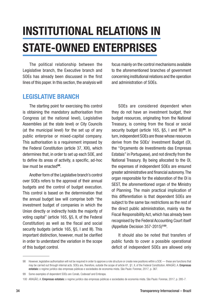# <span id="page-33-0"></span>INSTITUTIONAL RELATIONS IN STATE-OWNED ENTERPRISES

The political relationship between the Legislative branch, the Executive branch and SOEs has already been discussed in the first lines of this paper. In this section, the analysis will

#### LEGISLATIVE BRANCH

The starting point for exercising this control is obtaining the mandatory authorisation from Congress (at the national level), Legislative Assemblies (at the state level) or City Councils (at the municipal level) for the set up of any public enterprise or mixed-capital company. This authorisation is a requirement imposed by the Federal Constitution (article 37, XIX), which determines that, in order to set up each SOE, and to define its areas of activity, a specific, ad-hoc law must be enacted<sup>98</sup>.

Another form of the Legislative branch's control over SOEs refers to the approval of their annual budgets and the control of budget execution. This control is based on the determination that the annual budget law will comprise both "the investment budget of companies in which the Union directly or indirectly holds the majority of voting capital" (article 165, §5, II, of the Federal Constitution) as well as the fiscal and social security budgets (article 165, §5, I and III). This important distinction, however, must be clarified in order to understand the variation in the scope of this budget control.

focus mainly on the control mechanisms available to the aforementioned branches of government concerning institutional relations and the operation and administration of SOEs.

SOEs are considered dependent when they do not have an investment budget, their budget resources, originating from the National Treasury, is coming from the fiscal or social security budget (article 165, §5, I and III)<sup>99</sup>. In turn, independent SOEs are those whose resources derive from the SOEs' Investment Budget (OI, the "Orçamento de Investimento das Empresas Estatais" in Portuguese), and not directly from the National Treasury. By being allocated to the OI, the expenses of independent SOEs are ensured greater administrative and financial autonomy. The organ responsible for the elaboration of the OI is SEST, the aforementioned organ of the Ministry of Planning. The main practical implication of this differentiation is that dependent SOEs are subject to the same tax restrictions as the rest of the direct public administration, mainly via the Fiscal Responsibility Act, which has already been recognised by the Federal Accounting Court itself (Appellate Decision 357-2015)100.

It should also be noted that transfers of public funds to cover a possible operational deficit of independent SOEs are allowed only

<sup>98</sup> However, legislative authorisation will not be required in order to approve a role structure or create new positions within a SOE — these are functions that may be carried out through internal acts. SOEs are, therefore, outside the scope of article 61, §1, II, of the Federal Constitution, ARAGÃO, A. Empresas estatais: o regime jurídico das empresas públicas e sociedades de economia mista. São Paulo: Forense, 2017, p. 367.

<sup>99</sup> Some examples of dependent SOEs are Conab, Codevasf and Embrapa.

<sup>100</sup> ARAGÃO, A. Empresas estatais: o regime jurídico das empresas públicas e sociedades de economia mista. São Paulo: Forense, 2017, p. 285-7.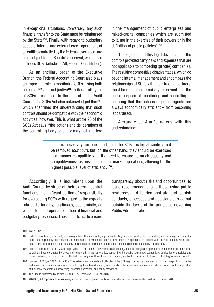in exceptional situations. Conversely, any such financial transfer to the State must be reimbursed by the State<sup>101</sup>. Finally, with regard to budgetary aspects, internal and external credit operations of all entities controlled by the federal government are also subject to the Senate's approval, which also includes SOEs (article 52, VII, Federal Constitution).

As an ancillary organ of the Executive Branch, the Federal Accounting Court also plays an important role in monitoring SOEs. Using both objective<sup>102</sup> and subjective<sup>103</sup> criteria, all types of SOEs are subject to the control of the Audit Courts. The SOEs Act also acknowledged this104, which enshrined the understanding that such controls should be compatible with their economic activities, however. This is what article 90 of the SOEs Act says: "the actions and deliberations of the controlling body or entity may not interfere in the management of public enterprises and mixed-capital companies which are submitted to it, nor in the exercise of their powers or in the definition of public policies"<sup>105</sup>.

The logic behind this legal device is that the controls provided carry risks and expenses that are not applicable to competing (private) companies. The resulting competitive disadvantages, which go beyond internal management and encompass the relationships of SOEs with their trading partners, must be minimised precisely to prevent that the entire purpose of monitoring and controlling – ensuring that the actions of public agents are always economically efficient – from becoming jeopardised.

Alexandre de Aragão agrees with this understanding:

It is necessary, on one hand, that the SOEs' external controls not be removed *tout court*, but, on the other hand, they should be exercised in a manner compatible with the need to ensure as much equality and competitiveness as possible for their market operations, allowing for the highest possible level of efficiency<sup>106</sup>.

Accordingly, it is incumbent upon the Audit Courts, by virtue of their external control functions, a significant portion of responsibility for overseeing SOEs with regard to the aspects related to legality, legitimacy, economicity, as well as to the proper application of financial and budgetary resources. These courts act to ensure

transparency about risks and opportunities, to issue recommendations to those using public resources and to demonstrate and punish conducts, processes and decisions carried out outside the law and the principles governing Public Administration.

<sup>101</sup> Ibid, p. 287.

<sup>102</sup> Federal Constitution, article 70, sole paragraph – "All natural or legal persons, be they public or private, who use, collect, store, manage or administer public assets, property and securities, or those assets for which the Federal Government is responsible, or persons who, on the Federal Government's behalf, take on obligations of a pecuniary nature, shall perform their due diligence as it pertains to accountability transparency".

<sup>103</sup> Federal Constitution, article 70, head provision – "The Federal Government's accounting, financial, budgetary, operational and patrimonial inspections, as well as those conducted by direct and indirect administration entities, concerning the legality, legitimacy, economicity, application of subsidies and revenue waivers, will be exercised by the National Congress, through external controls, and by the internal control system of each government branch".

<sup>104</sup> Law No. 13,303, of 2016, article 85 – "The external and internal control bodies of the 3 (three) spheres of government shall supervise public companies and related mixed-capital corporations, including those based abroad, with regards to the legitimacy, economicity and effectiveness of the application of their resources from an accounting, financial, operational and equity standpoint".

<sup>105</sup> This idea is reinforced by articles 49 and 50 of Decree No. 8,945 of 2016.

<sup>106</sup> ARAGÃO, A. Empresas estatais: o regime jurídico das empresas públicas e sociedades de economia mista. São Paulo: Forense, 2017, p. 372.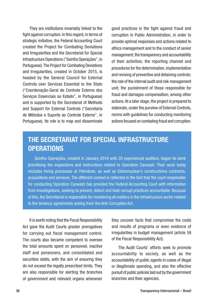<span id="page-35-0"></span>They are institutions invariably linked to the fight against corruption. In this regard, in terms of strategic initiative, the Federal Accounting Court created the Project for Combating Deviations and Irregularities and the Secretariat for Special Infrastructure Operations ("Seinfra Operações", in Portuguese). The Project for Combating Deviations and Irregularities, created in October 2015, is headed by the General Council for External Controls over Services Essential to the State ("Coordenação-Geral de Controle Externo dos Serviços Essenciais ao Estado", in Portuguese) and is supported by the Secretariat of Methods and Support for External Controls ("Secretaria de Métodos e Suporte ao Controle Externo", in Portuguese). Its role is to map and disseminate

good practices in the fight against fraud and corruption in Public Administration, in order to provide optimal responses and actions related to ethics management and to the conduct of senior management; the transparency and accountability of their activities; the reporting channel and procedures for the determination, implementation and revising of preventive and detaining controls; the role of the internal audit and risk management unit; the punishment of those responsible for fraud and damages compensation; among other actions. At a later stage, the project is prepared to elaborate, under the purview of External Controls, norms with guidelines for conducting monitoring actions focused on combating fraud and corruption.

#### THE SECRETARIAT FOR SPECIAL INFRASTRUCTURE **OPERATIONS**

Seinfra Operações, created in January 2016 with 20 experienced auditors, began its work prioritising the inspections and instructions related to Operation Carwash. Their work today includes hiring processes at Petrobras, as well as Eletronuclear's constructions contracts, acquisitions and services. The different context is reflected in the fact that the court responsible for conducting Operation Carwash has provided the Federal Accounting Court with information from investigations, seeking to prevent, detect and hold corrupt practices accountable. Because of this, the Secretariat is responsible for monitoring all matters in the infrastructure sector related to the leniency agreements arising from the Anti-Corruption Act.

It is worth noting that the Fiscal Responsibility Act gave the Audit Courts greater prerogatives for carrying out fiscal management control. The courts also became competent to oversee the total amounts spent on personnel, inactive staff and pensioners, and consolidated and securities debts, with the aim of ensuring they do not exceed the legally prescribed limits. They are also responsible for alerting the branches of government and relevant organs whenever they uncover facts that compromise the costs and results of programs or even evidence of irregularities in budget management (article 59 of the Fiscal Responsibility Act).

The Audit Courts' efforts seek to promote accountability to society, as well as the accountability of public agents in cases of illegal or illegitimate spending, and also the effective pursuit of public policies laid out by the government branches and their agencies.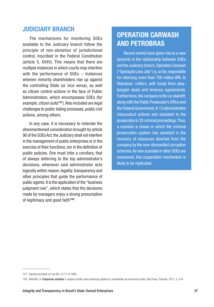#### JUDICIARY BRANCH

The mechanisms for monitoring SOEs available to the Judiciary branch follow the principle of non-obviation of jurisdictional control, inscribed in the Federal Constitution (article 5, XXXV). This means that there are multiple instances in which courts may interfere with the performance of SOEs – instances wherein minority shareholders rise up against the controlling State (or vice versa), as well as citizen control actions in the face of Public Administration, which encompasses SOEs (for example, citizen suits<sup>107</sup>). Also included are legal challenges to public biding processes, public civil actions, among others.

In any case, it is necessary to reiterate the aforementioned consideration brought by article 90 of the SOEs Act: the Judiciary shall not interfere in the management of public enterprises or in the exercise of their functions, nor in the definition of public policies. One must infer a corollary, that of always deferring to the top administrator's decisions, whenever said administrator acts logically within reason, legality, transparency and other principles that guide the performance of public agents. It is the application of the "business judgment rule", which states that the decisions made by managers enjoy a strong presumption of legitimacy and good faith<sup>108</sup>.

#### OPERATION CARWASH AND PETROBRAS

Recent events have given rise to a new dynamic in the relationship between SOEs and the Judiciary branch. Operation Carwash ("Operação Lava Jato") is, so far, responsible for returning more than 700 million BRL to Petrobras' coffers, with funds from pleabargain deals and leniency agreements. Furthermore, the company is the co-plaintiff, along with the Public Prosecutor's Office and the Federal Government, in 13 administrative misconduct actions and assistant to the prosecution in 33 criminal proceedings. Thus, a scenario is drawn in which the criminal prosecution system has assisted in the recovery of resources diverted from the company by the now-dismantled corruption schemes. As new scandals in other SOEs are uncovered, this cooperation mechanism is likely to be replicated.

<sup>107</sup> Express provision of Law No. 4,717 of 1965.

<sup>108</sup> ARAGÃO, A. Empresas estatais: o regime jurídico das empresas públicas e sociedades de economia mista. São Paulo: Forense, 2017, p. 374.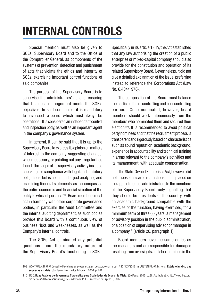# <span id="page-37-0"></span>INTERNAL CONTROLS

Special mention must also be given to SOEs' Supervisory Board and to the Office of the Comptroller General, as components of the systems of prevention, detection and punishment of acts that violate the ethics and integrity of SOEs, exercising important control functions of said companies.

The purpose of the Supervisory Board is to supervise the administrators' actions, ensuring that business management meets the SOE's objectives. In said companies, it is mandatory to have such a board, which must always be operational. It is considered an independent control and inspection body, as well as an important agent in the company's governance system.

In general, it can be said that it is up to the Supervisory Board to express its opinion on matters of interest to the company, suggesting changes, when necessary, or pointing out any irregularities found. The scope of its supervisory activity includes checking for compliance with legal and statutory obligations, but is not limited to just analysing and examining financial statements, as it encompasses the entire economic and financial situation of the entity to which it pertains<sup>109</sup>. Board members must act in harmony with other corporate governance bodies, in particular the Audit Committee and the internal auditing department, as such bodies provide this Board with a continuous view of business risks and weaknesses, as well as the Company's internal controls.

The SOEs Act eliminated any potential questions about the mandatory nature of the Supervisory Board's functioning in SOEs.

Specifically in its article 13, IV, the Act established that any law authorising the creation of a public enterprise or mixed-capital company should also provide for the constitution and operation of its related Supervisory Board. Nevertheless, it did not give a detailed explanation of the issue, preferring instead to reference the Corporations Act (Law No. 6,404/1976).

The composition of the Board must balance the participation of controlling and non-controlling partners. Once nominated, however, board members should work autonomously from the members who nominated them and secured their election<sup>110</sup>. It is recommended to avoid political party nominees and that the recruitment process is transparent and rigorously based on characteristics such as sound reputation, academic background, experience in accountability and technical training in areas relevant to the company's activities and its management, with adequate compensation.

The State-Owned Enterprises Act, however, did not impose the same restrictions that it placed on the appointment of administrators to the members of the Supervisory Board, only signalling that they should be "residents of the country, with an academic background compatible with the exercise of the function, having exercised, for a minimum term of three (3) years, a management or advisory position in the public administration, or a position of supervising advisor or manager in a company " (article 26, paragraph 1).

Board members have the same duties as the managers and are responsible for damages resulting from oversights and shortcomings in the

<sup>109</sup> WONTROBA, B. G. O Conselho Fiscal nas empresas estatais, de acordo com a Lei nº 13.303/2016. In: JUSTEN FILHO, M. (org.) Estatuto jurídico das empresas estatais. São Paulo: Revista dos Tribunais, 2016, p. 241.

<sup>110</sup> IBGC. Boas Práticas de Governança Corporativa para Sociedades de Economia Mista. São Paulo, 2015, p. 27. Available at: <http://www.ibgc.org. br/userfiles/2014/files/Arquivos\_Site/Caderno14.PDF>. Accessed on: April 10, 2017.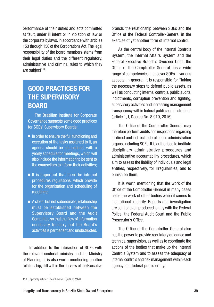performance of their duties and acts committed at fault, under ill intent or in violation of law or the corporate bylaws, in accordance with articles 153 through 156 of the Corporations Act. The legal responsibility of the board members stems from their legal duties and the different regulatory, administrative and criminal rules to which they are subject<sup>111</sup>.

#### GOOD PRACTICES FOR THE SUPERVISORY **BOARD**

The Brazilian Institute for Corporate Governance suggests some good practices for SOEs' Supervisory Boards:

- In order to ensure the full functioning and execution of the tasks assigned to it, an agenda should be established, with a yearly schedule for meetings, which will also include the information to be sent to the counsellors to inform their activities;
- It is important that there be internal procedures regulations, which provide for the organisation and scheduling of meetings;
- A close, but not subordinate, relationship must be established between the Supervisory Board and the Audit Committee so that the flow of information necessary to carry out the Board's activities is permanent and unobstructed.

In addition to the interaction of SOEs with the relevant sectorial ministry and the Ministry of Planning, it is also worth mentioning another relationship, still within the purview of the Executive

branch: the relationship between SOEs and the Office of the Federal Controller-General in the exercise of yet another form of internal control.

As the central body of the Internal Controls System, the Internal Affairs System and the Federal Executive Branch's Overseer Units, the Office of the Comptroller General has a wide range of competencies that cover SOEs in various aspects. In general, it is responsible for "taking the necessary steps to defend public assets, as well as conducting internal controls, public audits, indictments, corruption prevention and fighting, supervisory activities and increasing management transparency within federal public administration" (article 1, I, Decree No. 8,910, 2016).

The Office of the Comptroller General may therefore perform audits and inspections regarding all direct and indirect federal public administration organs, including SOEs. It is authorised to institute disciplinary administrative procedures and administrative accountability procedures, which aim to assess the liability of individuals and legal entities, respectively, for irregularities, and to punish on them.

It is worth mentioning that the work of the Office of the Comptroller General in many cases helps the work of other bodies when it comes to institutional integrity. Reports and investigation are sent or even produced jointly with the Federal Police, the Federal Audit Court and the Public Prosecutor's Office.

The Office of the Comptroller General also has the power to provide regulatory guidance and technical supervision, as well as to coordinate the actions of the bodies that make up the Internal Controls System and to assess the adequacy of internal controls and risk management within each agency and federal public entity.

<sup>111</sup> Especially article 165 of Law No. 6,404 of 1976.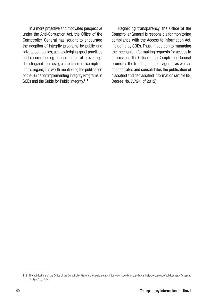In a more proactive and motivated perspective under the Anti-Corruption Act, the Office of the Comptroller General has sought to encourage the adoption of integrity programs by public and private companies, acknowledging good practices and recommending actions aimed at preventing, detecting and addressing acts of fraud and corruption. In this regard, it is worth mentioning the publication of the Guide for Implementing Integrity Programs in SOEs and the Guide for Public Integrity.<sup>112</sup>

Regarding transparency, the Office of the Comptroller General is responsible for monitoring compliance with the Access to Information Act, including by SOEs. Thus, in addition to managing the mechanism for making requests for access to information, the Office of the Comptroller General promotes the training of public agents, as well as concentrates and consolidates the publication of classified and declassified information (article 68, Decree No. 7,724, of 2012).

<sup>112</sup> The publications of the Office of the Comptroller General are available at [<https://www.gov.br/cgu/pt-br/centrais-de-conteudo/publicacoes](https://www.gov.br/cgu/pt-br/centrais-de-conteudo/publicacoes)> Accessed on: April 10, 2017.